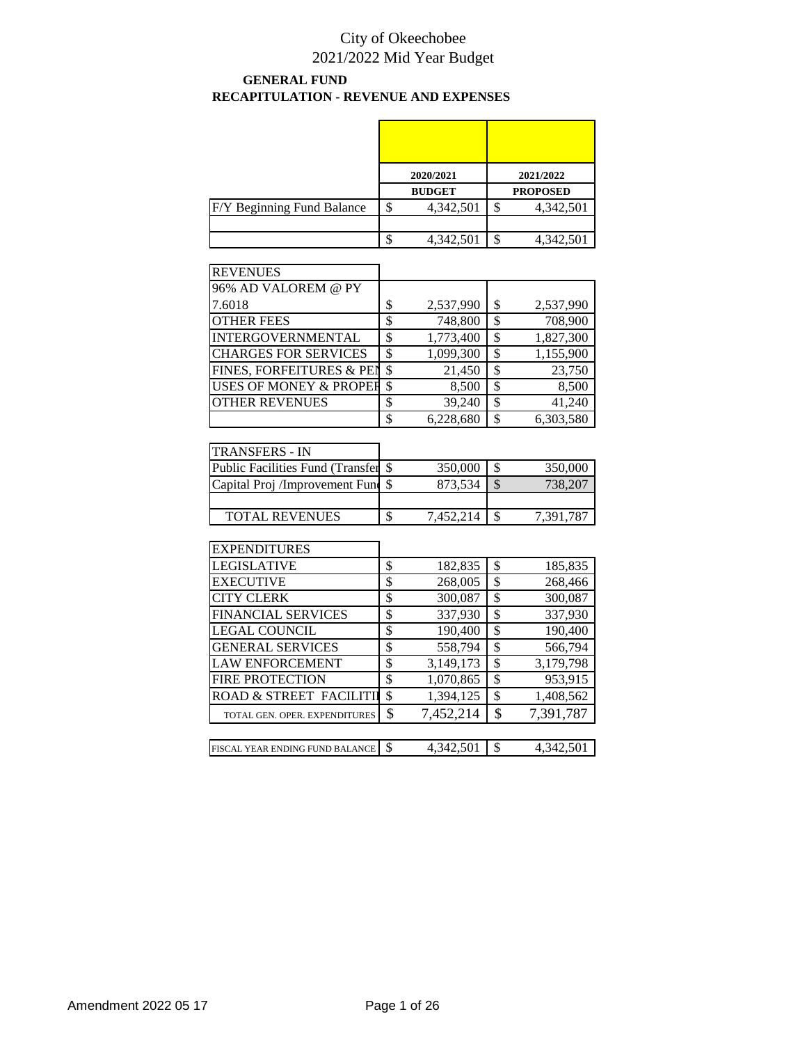#### **GENERAL FUND RECAPITULATION - REVENUE AND EXPENSES**

|                            |    | 2020/2021     |    | 2021/2022       |
|----------------------------|----|---------------|----|-----------------|
|                            |    | <b>BUDGET</b> |    | <b>PROPOSED</b> |
| F/Y Beginning Fund Balance | \$ | 4,342,501     | S  | 4,342,501       |
|                            |    |               |    |                 |
|                            | Œ  | 4,342,501     | \$ | 4,342,501       |

| <b>REVENUES</b>                   |     |           |    |           |
|-----------------------------------|-----|-----------|----|-----------|
| 96% AD VALOREM @ PY               |     |           |    |           |
| 7.6018                            | \$  | 2,537,990 | S  | 2,537,990 |
| <b>OTHER FEES</b>                 | \$  | 748,800   | \$ | 708,900   |
| <b>INTERGOVERNMENTAL</b>          | \$  | 1,773,400 | \$ | 1,827,300 |
| <b>CHARGES FOR SERVICES</b>       | \$  | 1,099,300 | S  | 1,155,900 |
| FINES, FORFEITURES & PEN          | -\$ | 21,450    | \$ | 23,750    |
| <b>USES OF MONEY &amp; PROPER</b> | \$  | 8,500     | \$ | 8,500     |
| <b>OTHER REVENUES</b>             | \$  | 39,240    | \$ | 41,240    |
|                                   | \$  | 6.228.680 | \$ | 6.303.580 |

| <b>TRANSFERS - IN</b>               |           |           |
|-------------------------------------|-----------|-----------|
| Public Facilities Fund (Transfer \$ | 350,000   | 350,000   |
| Capital Proj /Improvement Fund \$   | 873,534   | 738,207   |
|                                     |           |           |
| <b>TOTAL REVENUES</b>               | 7.452.214 | 7.391.787 |

| <b>EXPENDITURES</b>             |                 |                 |
|---------------------------------|-----------------|-----------------|
| LEGISLATIVE                     | \$<br>182,835   | \$<br>185,835   |
| <b>EXECUTIVE</b>                | \$<br>268,005   | \$<br>268,466   |
| <b>CITY CLERK</b>               | \$<br>300,087   | \$<br>300,087   |
| <b>FINANCIAL SERVICES</b>       | \$<br>337,930   | \$<br>337,930   |
| <b>LEGAL COUNCIL</b>            | \$<br>190,400   | \$<br>190,400   |
| <b>GENERAL SERVICES</b>         | \$<br>558,794   | \$<br>566,794   |
| <b>LAW ENFORCEMENT</b>          | \$<br>3,149,173 | \$<br>3,179,798 |
| <b>FIRE PROTECTION</b>          | \$<br>1,070,865 | \$<br>953,915   |
| ROAD & STREET FACILITII         | \$<br>1,394,125 | \$<br>1,408,562 |
| TOTAL GEN. OPER. EXPENDITURES   | \$<br>7,452,214 | \$<br>7,391,787 |
|                                 |                 |                 |
| FISCAL YEAR ENDING FUND BALANCE | \$<br>4.342.501 | \$<br>4.342.501 |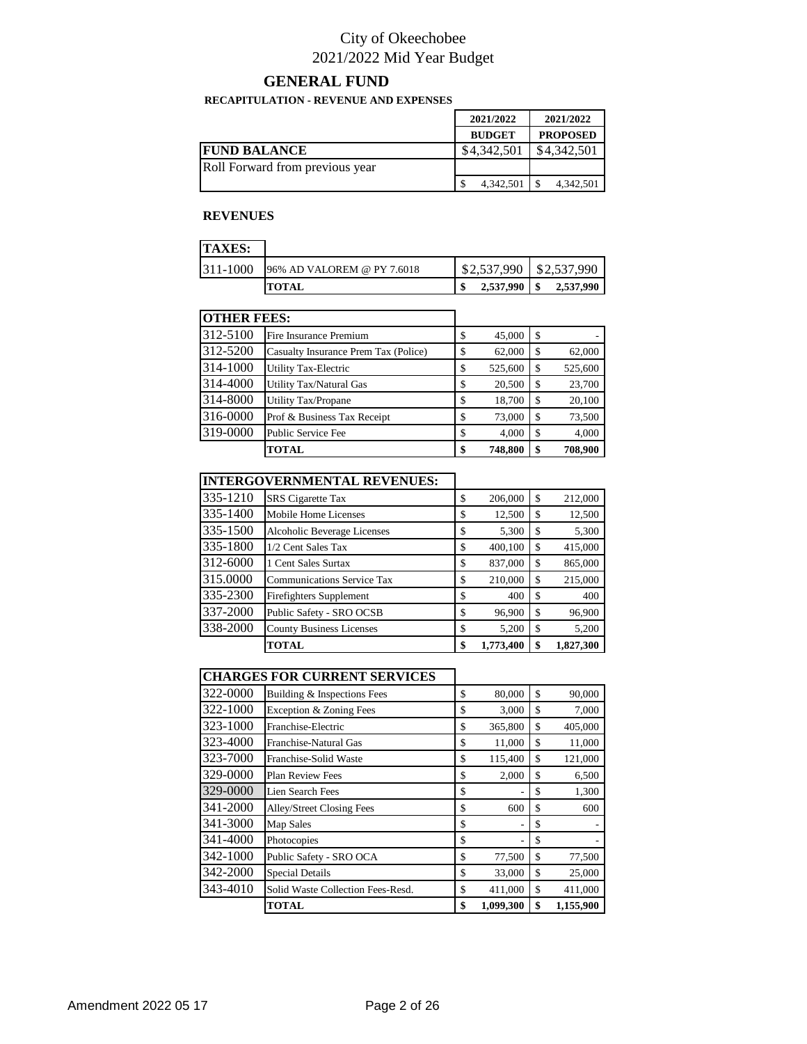#### **GENERAL FUND**

#### **RECAPITULATION - REVENUE AND EXPENSES**

|                                 | 2021/2022     | 2021/2022       |
|---------------------------------|---------------|-----------------|
|                                 | <b>BUDGET</b> | <b>PROPOSED</b> |
| <b>FUND BALANCE</b>             | \$4.342,501   | \$4,342,501     |
| Roll Forward from previous year |               |                 |
|                                 | 4,342,501     | 4,342,501       |

#### **REVENUES**

| <b>TAXES:</b> |                            |                           |           |
|---------------|----------------------------|---------------------------|-----------|
| 311-1000      | 96% AD VALOREM @ PY 7.6018 | $$2,537,990$ $$2,537,990$ |           |
|               | <b>TOTAL</b>               | 2,537,990                 | 2,537,990 |

| <b>OTHER FEES:</b> |                                      |               |    |         |
|--------------------|--------------------------------------|---------------|----|---------|
| 312-5100           | Fire Insurance Premium               | \$<br>45,000  | \$ |         |
| 312-5200           | Casualty Insurance Prem Tax (Police) | \$<br>62,000  | \$ | 62,000  |
| 314-1000           | <b>Utility Tax-Electric</b>          | \$<br>525,600 | S  | 525,600 |
| 314-4000           | Utility Tax/Natural Gas              | \$<br>20,500  | \$ | 23,700  |
| 314-8000           | Utility Tax/Propane                  | \$<br>18,700  | \$ | 20,100  |
| 316-0000           | Prof & Business Tax Receipt          | \$<br>73,000  | \$ | 73,500  |
| 319-0000           | Public Service Fee                   | \$<br>4,000   | \$ | 4,000   |
|                    | <b>TOTAL</b>                         | \$<br>748,800 | \$ | 708,900 |

|          | <b>INTERGOVERNMENTAL REVENUES:</b> |                 |     |           |
|----------|------------------------------------|-----------------|-----|-----------|
| 335-1210 | <b>SRS</b> Cigarette Tax           | \$<br>206,000   | \$  | 212,000   |
| 335-1400 | Mobile Home Licenses               | \$<br>12,500    | \$  | 12,500    |
| 335-1500 | Alcoholic Beverage Licenses        | \$<br>5,300     | \$  | 5,300     |
| 335-1800 | 1/2 Cent Sales Tax                 | \$<br>400,100   | \$. | 415,000   |
| 312-6000 | 1 Cent Sales Surtax                | \$<br>837,000   | \$. | 865,000   |
| 315.0000 | <b>Communications Service Tax</b>  | \$<br>210,000   | \$  | 215,000   |
| 335-2300 | <b>Firefighters Supplement</b>     | \$<br>400       | \$  | 400       |
| 337-2000 | Public Safety - SRO OCSB           | \$<br>96,900    | \$  | 96,900    |
| 338-2000 | <b>County Business Licenses</b>    | \$<br>5,200     | \$  | 5,200     |
|          | <b>TOTAL</b>                       | \$<br>1,773,400 | \$  | 1,827,300 |

#### **CHARGES FOR CURRENT SERVICES**

| Building & Inspections Fees       | \$<br>80,000    | \$<br>90,000    |
|-----------------------------------|-----------------|-----------------|
| Exception & Zoning Fees           | \$<br>3,000     | \$<br>7,000     |
| Franchise-Electric                | \$<br>365,800   | \$<br>405,000   |
| Franchise-Natural Gas             | \$<br>11,000    | \$<br>11,000    |
| Franchise-Solid Waste             | \$<br>115,400   | \$<br>121,000   |
| <b>Plan Review Fees</b>           | \$<br>2,000     | \$<br>6,500     |
| Lien Search Fees                  | \$              | \$<br>1,300     |
| Alley/Street Closing Fees         | \$<br>600       | \$<br>600       |
| Map Sales                         | \$<br>٠         | \$              |
| Photocopies                       | \$<br>۰         | \$              |
| Public Safety - SRO OCA           | \$<br>77,500    | \$<br>77,500    |
| <b>Special Details</b>            | \$<br>33,000    | \$<br>25,000    |
| Solid Waste Collection Fees-Resd. | \$<br>411,000   | \$<br>411,000   |
| <b>TOTAL</b>                      | \$<br>1.099.300 | \$<br>1,155,900 |
|                                   |                 |                 |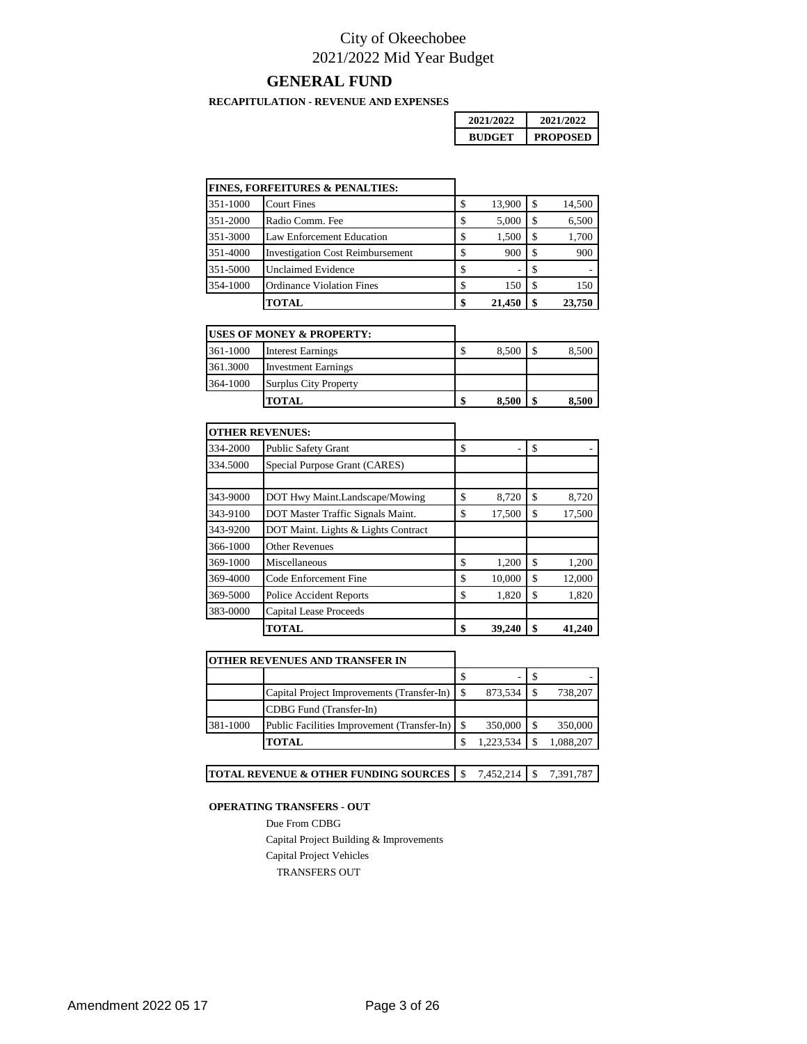#### **GENERAL FUND**

**RECAPITULATION - REVENUE AND EXPENSES**

| 2021/2022 | 2021/2022       |
|-----------|-----------------|
| RUDGET    | <b>PROPOSED</b> |

|          | <b>FINES, FORFEITURES &amp; PENALTIES:</b> |              |    |        |
|----------|--------------------------------------------|--------------|----|--------|
| 351-1000 | <b>Court Fines</b>                         | \$<br>13,900 | -8 | 14,500 |
| 351-2000 | Radio Comm. Fee                            | \$<br>5,000  | -S | 6,500  |
| 351-3000 | Law Enforcement Education                  | \$<br>1,500  | -S | 1,700  |
| 351-4000 | <b>Investigation Cost Reimbursement</b>    | \$<br>900    | -S | 900    |
| 351-5000 | <b>Unclaimed Evidence</b>                  | \$           |    | ۰      |
| 354-1000 | <b>Ordinance Violation Fines</b>           | \$<br>150    | -S | 150    |
|          | TOTAL                                      | \$<br>21,450 |    | 23,750 |

|          | <b>IUSES OF MONEY &amp; PROPERTY:</b> |       |       |
|----------|---------------------------------------|-------|-------|
| 361-1000 | <b>Interest Earnings</b>              | 8,500 | 8,500 |
| 361.3000 | <b>Investment Earnings</b>            |       |       |
| 364-1000 | <b>Surplus City Property</b>          |       |       |
|          | TOTAL.                                | 8.500 | 8.500 |

|          | <b>OTHER REVENUES:</b>              |              |              |
|----------|-------------------------------------|--------------|--------------|
| 334-2000 | <b>Public Safety Grant</b>          | \$           | \$           |
| 334.5000 | Special Purpose Grant (CARES)       |              |              |
|          |                                     |              |              |
| 343-9000 | DOT Hwy Maint.Landscape/Mowing      | \$<br>8,720  | \$<br>8,720  |
| 343-9100 | DOT Master Traffic Signals Maint.   | \$<br>17,500 | \$<br>17,500 |
| 343-9200 | DOT Maint. Lights & Lights Contract |              |              |
| 366-1000 | <b>Other Revenues</b>               |              |              |
| 369-1000 | Miscellaneous                       | \$<br>1,200  | \$<br>1,200  |
| 369-4000 | Code Enforcement Fine               | \$<br>10,000 | \$<br>12,000 |
| 369-5000 | <b>Police Accident Reports</b>      | \$<br>1,820  | \$<br>1,820  |
| 383-0000 | <b>Capital Lease Proceeds</b>       |              |              |
|          | <b>TOTAL</b>                        | 39,240       | \$<br>41,240 |

|          | OTHER REVENUES AND TRANSFER IN                    |     |           |           |
|----------|---------------------------------------------------|-----|-----------|-----------|
|          |                                                   | S   | -         |           |
|          | Capital Project Improvements (Transfer-In) \ \ \$ |     | 873,534   | 738,207   |
|          | CDBG Fund (Transfer-In)                           |     |           |           |
| 381-1000 | Public Facilities Improvement (Transfer-In)   \$  |     | 350,000   | 350,000   |
|          | <b>TOTAL</b>                                      | \$. | 1,223,534 | 1,088,207 |

| <b>TOTAL REVENUE &amp; OTHER FUNDING SOURCES</b> $\frac{1}{5}$ 7.452,214 $\frac{1}{5}$ 7.391,787 |  |  |  |
|--------------------------------------------------------------------------------------------------|--|--|--|
|--------------------------------------------------------------------------------------------------|--|--|--|

#### **OPERATING TRANSFERS - OUT**

Due From CDBG Capital Project Building & Improvements Capital Project Vehicles TRANSFERS OUT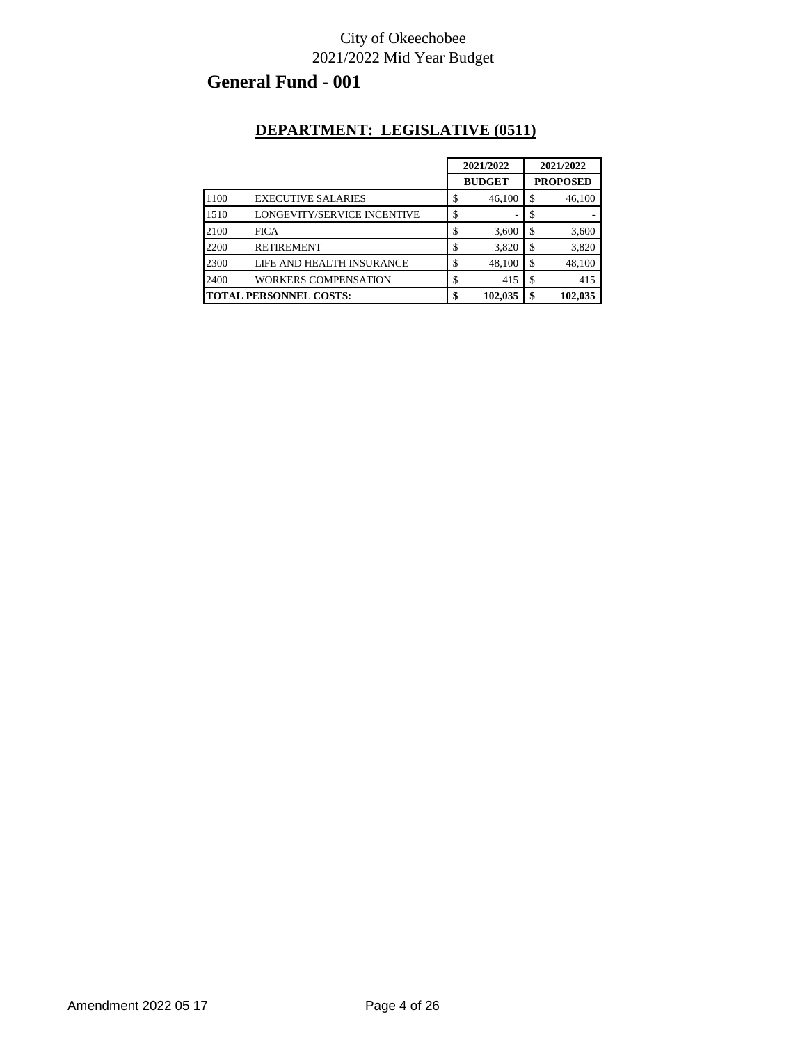# **General Fund - 001**

#### **DEPARTMENT: LEGISLATIVE (0511)**

|      |                               |    | 2021/2022     |    | 2021/2022       |  |
|------|-------------------------------|----|---------------|----|-----------------|--|
|      |                               |    | <b>BUDGET</b> |    | <b>PROPOSED</b> |  |
| 1100 | <b>EXECUTIVE SALARIES</b>     | S  | 46,100        | \$ | 46,100          |  |
| 1510 | LONGEVITY/SERVICE INCENTIVE   |    | ٠             |    |                 |  |
| 2100 | <b>FICA</b>                   |    | 3,600         | \$ | 3,600           |  |
| 2200 | <b>RETIREMENT</b>             |    | 3,820         | \$ | 3,820           |  |
| 2300 | LIFE AND HEALTH INSURANCE     |    | 48.100        | \$ | 48,100          |  |
| 2400 | <b>WORKERS COMPENSATION</b>   | J  | 415           | \$ | 415             |  |
|      | <b>TOTAL PERSONNEL COSTS:</b> | \$ | 102,035       | \$ | 102,035         |  |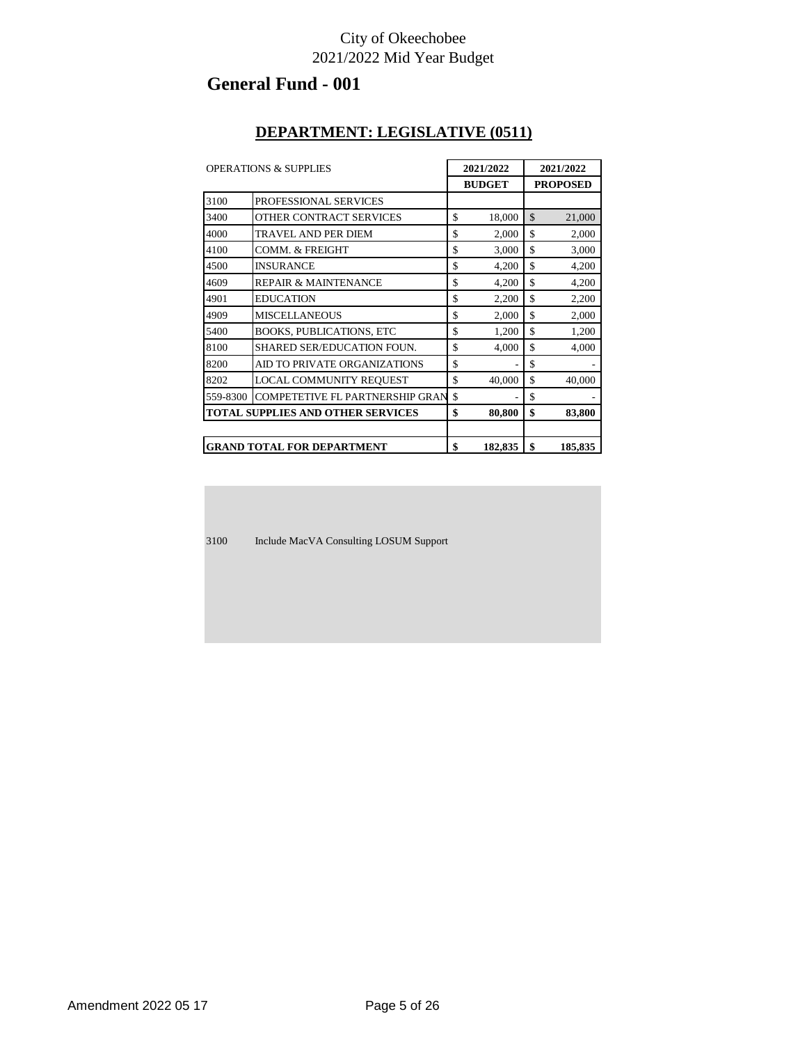# **General Fund - 001**

#### **DEPARTMENT: LEGISLATIVE (0511)**

| <b>OPERATIONS &amp; SUPPLIES</b> |                                          | 2021/2022 |               | 2021/2022     |                 |
|----------------------------------|------------------------------------------|-----------|---------------|---------------|-----------------|
|                                  |                                          |           | <b>BUDGET</b> |               | <b>PROPOSED</b> |
| 3100                             | PROFESSIONAL SERVICES                    |           |               |               |                 |
| 3400                             | OTHER CONTRACT SERVICES                  | \$        | 18,000        | $\mathcal{S}$ | 21,000          |
| 4000                             | <b>TRAVEL AND PER DIEM</b>               | \$        | 2,000         | \$            | 2,000           |
| 4100                             | <b>COMM. &amp; FREIGHT</b>               | \$        | 3,000         | \$            | 3,000           |
| 4500                             | <b>INSURANCE</b>                         | \$        | 4,200         | \$            | 4,200           |
| 4609                             | <b>REPAIR &amp; MAINTENANCE</b>          | \$        | 4,200         | \$            | 4,200           |
| 4901                             | <b>EDUCATION</b>                         | \$        | 2,200         | \$            | 2,200           |
| 4909                             | <b>MISCELLANEOUS</b>                     | \$        | 2,000         | \$            | 2,000           |
| 5400                             | <b>BOOKS, PUBLICATIONS, ETC</b>          | \$        | 1,200         | \$            | 1,200           |
| 8100                             | <b>SHARED SER/EDUCATION FOUN.</b>        | \$        | 4,000         | \$            | 4,000           |
| 8200                             | AID TO PRIVATE ORGANIZATIONS             | \$        |               | \$            |                 |
| 8202                             | LOCAL COMMUNITY REQUEST                  | \$        | 40,000        | \$            | 40,000          |
| 559-8300                         | <b>COMPETETIVE FL PARTNERSHIP GRAN</b>   | \$        | ä,            | \$            |                 |
|                                  | <b>TOTAL SUPPLIES AND OTHER SERVICES</b> | \$        | 80,800        | \$            | 83,800          |
|                                  | <b>GRAND TOTAL FOR DEPARTMENT</b>        | \$        | 182,835       | \$            | 185,835         |

3100 Include MacVA Consulting LOSUM Support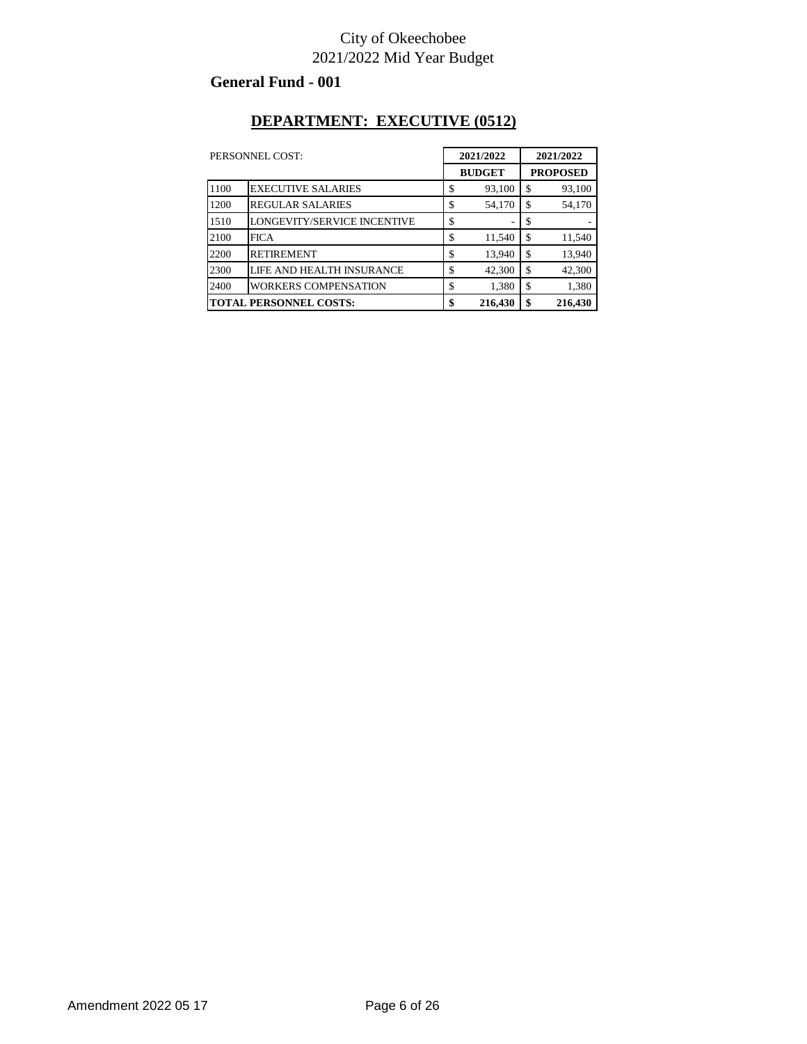#### **General Fund - 001**

### **DEPARTMENT: EXECUTIVE (0512)**

|      | 2021/2022<br>PERSONNEL COST:  |    | 2021/2022     |    |                 |
|------|-------------------------------|----|---------------|----|-----------------|
|      |                               |    | <b>BUDGET</b> |    | <b>PROPOSED</b> |
| 1100 | <b>EXECUTIVE SALARIES</b>     | \$ | 93,100        | \$ | 93,100          |
| 1200 | <b>REGULAR SALARIES</b>       | \$ | 54,170        | \$ | 54,170          |
| 1510 | LONGEVITY/SERVICE INCENTIVE   | \$ |               | S  |                 |
| 2100 | <b>FICA</b>                   | \$ | 11,540        | \$ | 11,540          |
| 2200 | <b>RETIREMENT</b>             | \$ | 13,940        | \$ | 13,940          |
| 2300 | LIFE AND HEALTH INSURANCE     | \$ | 42,300        | \$ | 42,300          |
| 2400 | <b>WORKERS COMPENSATION</b>   | \$ | 1,380         | \$ | 1,380           |
|      | <b>TOTAL PERSONNEL COSTS:</b> | \$ | 216,430       | \$ | 216,430         |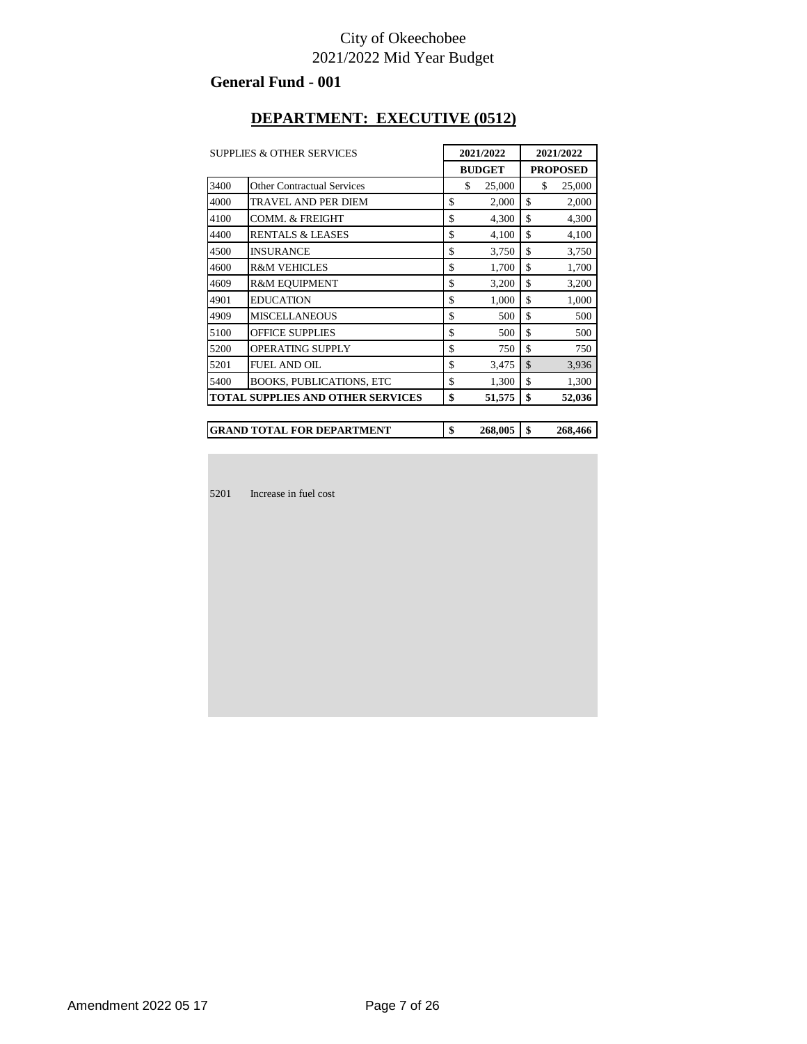#### **General Fund - 001**

#### **DEPARTMENT: EXECUTIVE (0512)**

|      | <b>SUPPLIES &amp; OTHER SERVICES</b>     | 2021/2022     | 2021/2022       |
|------|------------------------------------------|---------------|-----------------|
|      |                                          | <b>BUDGET</b> | <b>PROPOSED</b> |
| 3400 | <b>Other Contractual Services</b>        | \$<br>25,000  | \$<br>25,000    |
| 4000 | TRAVEL AND PER DIEM                      | \$<br>2,000   | \$<br>2,000     |
| 4100 | COMM. & FREIGHT                          | \$<br>4,300   | \$<br>4,300     |
| 4400 | <b>RENTALS &amp; LEASES</b>              | \$<br>4,100   | \$<br>4,100     |
| 4500 | <b>INSURANCE</b>                         | \$<br>3,750   | \$<br>3,750     |
| 4600 | <b>R&amp;M VEHICLES</b>                  | \$<br>1,700   | \$<br>1,700     |
| 4609 | <b>R&amp;M EOUIPMENT</b>                 | \$<br>3,200   | \$<br>3,200     |
| 4901 | <b>EDUCATION</b>                         | \$<br>1,000   | \$<br>1,000     |
| 4909 | <b>MISCELLANEOUS</b>                     | \$<br>500     | \$<br>500       |
| 5100 | <b>OFFICE SUPPLIES</b>                   | \$<br>500     | \$<br>500       |
| 5200 | <b>OPERATING SUPPLY</b>                  | \$<br>750     | \$<br>750       |
| 5201 | <b>FUEL AND OIL</b>                      | \$<br>3,475   | \$<br>3,936     |
| 5400 | <b>BOOKS, PUBLICATIONS, ETC</b>          | \$<br>1,300   | \$<br>1,300     |
|      | <b>TOTAL SUPPLIES AND OTHER SERVICES</b> | \$<br>51,575  | \$<br>52,036    |

**\$ 268,005 \$ 268,466 GRAND TOTAL FOR DEPARTMENT**

5201 Increase in fuel cost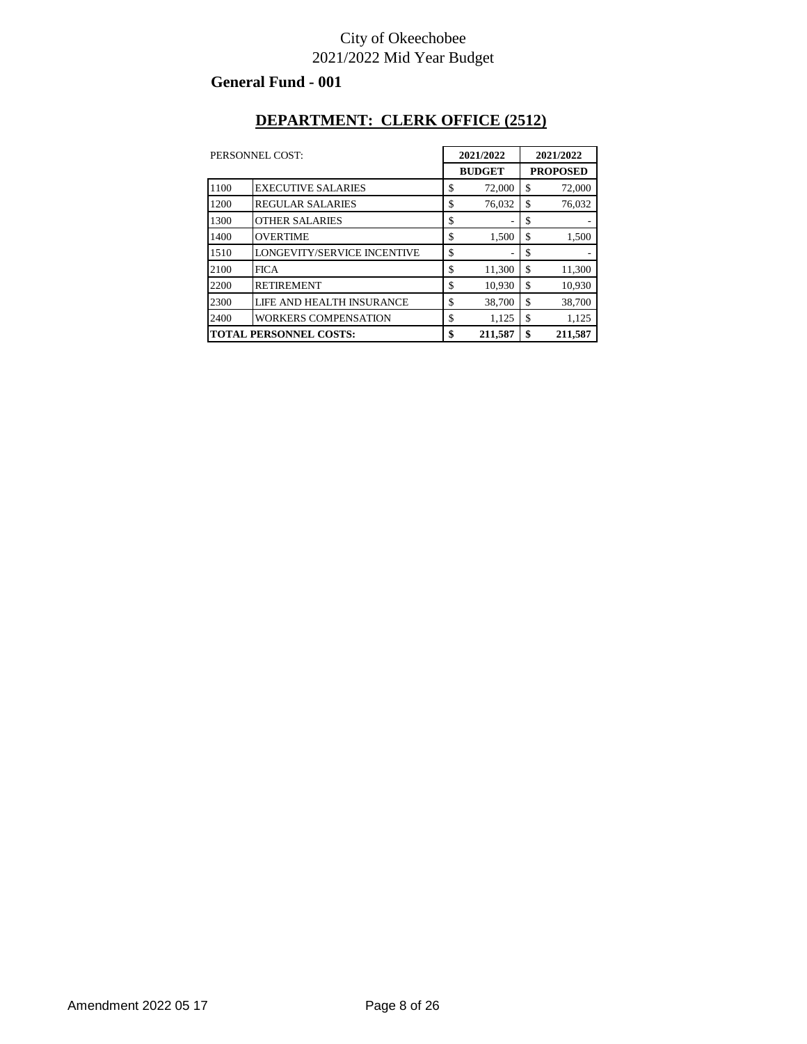#### **General Fund - 001**

### **DEPARTMENT: CLERK OFFICE (2512)**

| PERSONNEL COST:               |                             | 2021/2022     |                 | 2021/2022 |  |
|-------------------------------|-----------------------------|---------------|-----------------|-----------|--|
|                               |                             | <b>BUDGET</b> | <b>PROPOSED</b> |           |  |
| 1100                          | <b>EXECUTIVE SALARIES</b>   | \$<br>72,000  | \$              | 72,000    |  |
| 1200                          | <b>REGULAR SALARIES</b>     | \$<br>76,032  | \$              | 76,032    |  |
| 1300                          | <b>OTHER SALARIES</b>       | \$<br>۰       | \$              | ٠         |  |
| 1400                          | <b>OVERTIME</b>             | \$<br>1,500   | \$              | 1,500     |  |
| 1510                          | LONGEVITY/SERVICE INCENTIVE | \$            | \$              |           |  |
| 2100                          | <b>FICA</b>                 | \$<br>11,300  | \$              | 11,300    |  |
| 2200                          | <b>RETIREMENT</b>           | \$<br>10,930  | \$              | 10,930    |  |
| 2300                          | LIFE AND HEALTH INSURANCE   | \$<br>38,700  | \$              | 38,700    |  |
| 2400                          | <b>WORKERS COMPENSATION</b> | \$<br>1,125   | \$              | 1,125     |  |
| <b>TOTAL PERSONNEL COSTS:</b> |                             | \$<br>211.587 | \$              | 211.587   |  |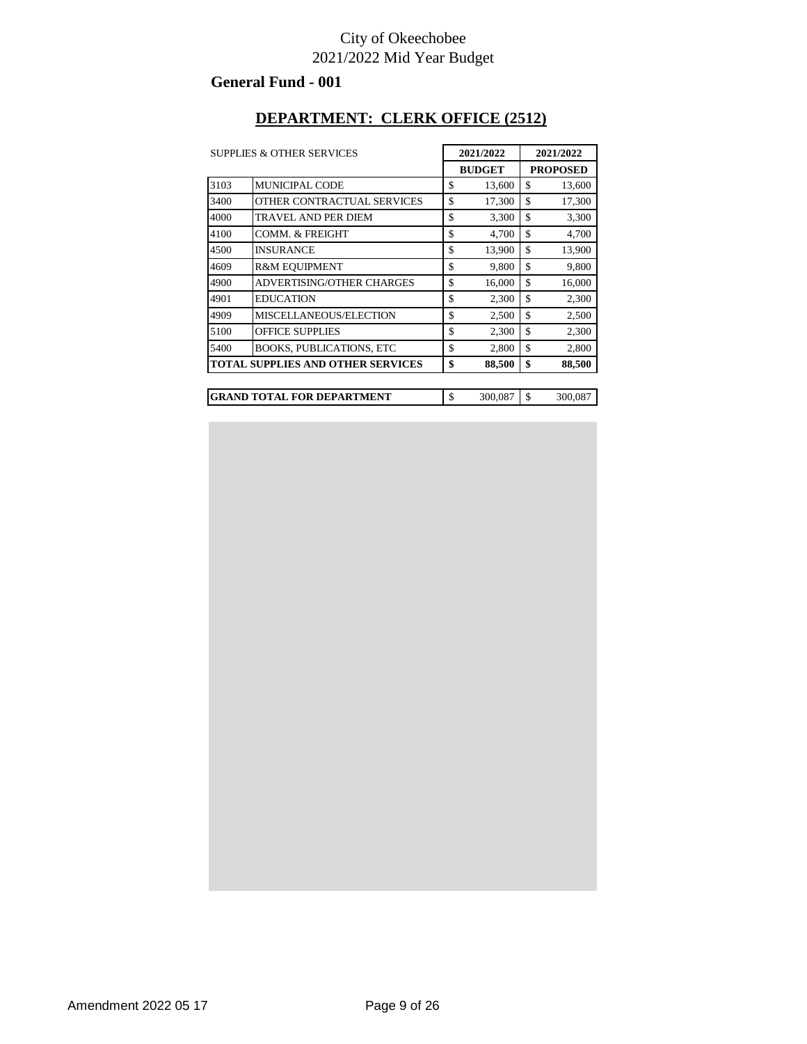#### **General Fund - 001**

#### **DEPARTMENT: CLERK OFFICE (2512)**

|      | <b>SUPPLIES &amp; OTHER SERVICES</b>     |    | 2021/2022 |                 | 2021/2022 |  |  |
|------|------------------------------------------|----|-----------|-----------------|-----------|--|--|
|      | <b>BUDGET</b>                            |    |           | <b>PROPOSED</b> |           |  |  |
| 3103 | <b>MUNICIPAL CODE</b>                    | \$ | 13,600    | \$              | 13,600    |  |  |
| 3400 | OTHER CONTRACTUAL SERVICES               | \$ | 17,300    | \$              | 17,300    |  |  |
| 4000 | TRAVEL AND PER DIEM                      | \$ | 3,300     | \$              | 3,300     |  |  |
| 4100 | COMM. & FREIGHT                          | \$ | 4,700     | \$              | 4,700     |  |  |
| 4500 | INSURANCE                                | \$ | 13,900    | \$              | 13,900    |  |  |
| 4609 | R&M EOUIPMENT                            | \$ | 9,800     | \$              | 9,800     |  |  |
| 4900 | ADVERTISING/OTHER CHARGES                | \$ | 16,000    | \$              | 16,000    |  |  |
| 4901 | EDUCATION                                | \$ | 2,300     | \$              | 2,300     |  |  |
| 4909 | MISCELLANEOUS/ELECTION                   | \$ | 2,500     | \$              | 2,500     |  |  |
| 5100 | OFFICE SUPPLIES                          | \$ | 2,300     | \$              | 2,300     |  |  |
| 5400 | <b>BOOKS, PUBLICATIONS, ETC</b>          | \$ | 2,800     | \$              | 2,800     |  |  |
|      | <b>TOTAL SUPPLIES AND OTHER SERVICES</b> | \$ | 88,500    | \$              | 88,500    |  |  |
|      |                                          |    |           |                 |           |  |  |
|      | <b>GRAND TOTAL FOR DEPARTMENT</b>        | \$ | 300,087   | \$              | 300,087   |  |  |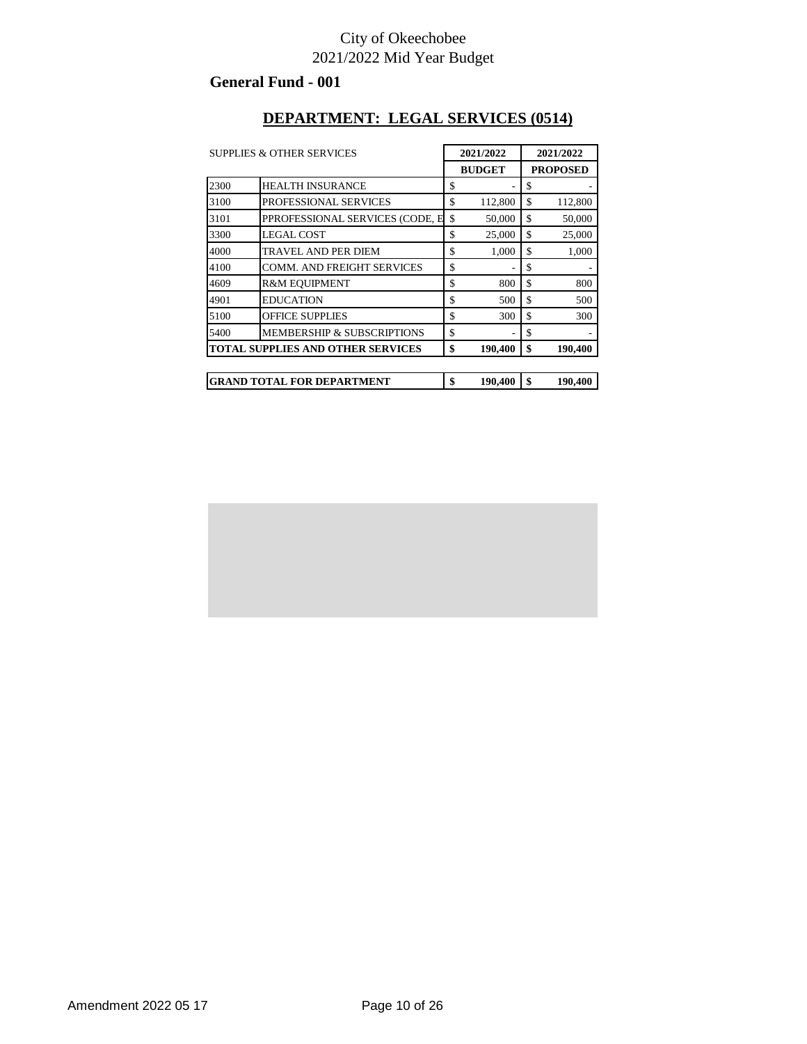#### **General Fund - 001**

#### **DEPARTMENT: LEGAL SERVICES (0514)**

| <b>SUPPLIES &amp; OTHER SERVICES</b> |                                          | 2021/2022 |               | 2021/2022 |                 |
|--------------------------------------|------------------------------------------|-----------|---------------|-----------|-----------------|
|                                      |                                          |           | <b>BUDGET</b> |           | <b>PROPOSED</b> |
| 2300                                 | <b>HEALTH INSURANCE</b>                  | \$        |               | \$        |                 |
| 3100                                 | PROFESSIONAL SERVICES                    | \$        | 112,800       | \$        | 112,800         |
| 3101                                 | PPROFESSIONAL SERVICES (CODE, E          | \$        | 50,000        | \$        | 50,000          |
| 3300                                 | <b>LEGAL COST</b>                        | \$        | 25,000        | \$        | 25,000          |
| 4000                                 | TRAVEL AND PER DIEM                      | \$        | 1,000         | \$        | 1,000           |
| 4100                                 | <b>COMM. AND FREIGHT SERVICES</b>        | \$        |               | \$        |                 |
| 4609                                 | <b>R&amp;M EOUIPMENT</b>                 | \$        | 800           | \$        | 800             |
| 4901                                 | <b>EDUCATION</b>                         | \$        | 500           | \$        | 500             |
| 5100                                 | <b>OFFICE SUPPLIES</b>                   | \$        | 300           | \$        | 300             |
| 5400                                 | MEMBERSHIP & SUBSCRIPTIONS               | \$        |               | \$        |                 |
|                                      | <b>TOTAL SUPPLIES AND OTHER SERVICES</b> | \$        | 190,400       | \$        | 190,400         |
|                                      |                                          |           |               |           |                 |
|                                      | <b>GRAND TOTAL FOR DEPARTMENT</b>        | \$        | 190,400       | \$        | 190,400         |

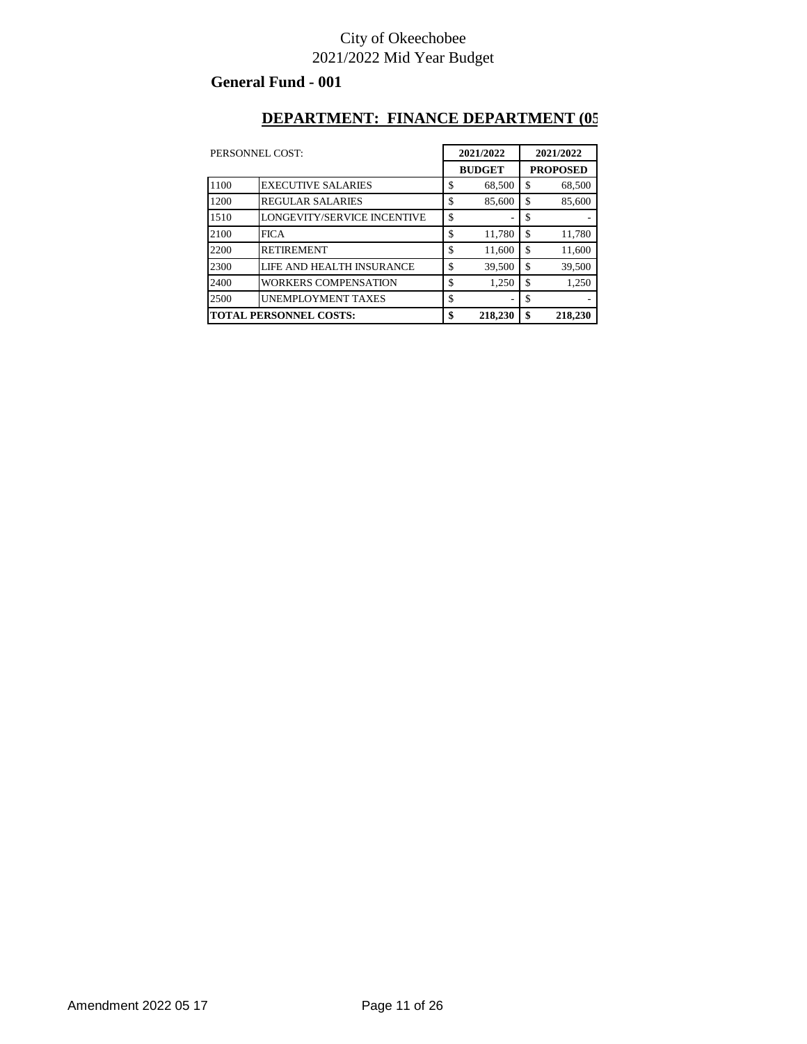#### **General Fund - 001**

#### **DEPARTMENT: FINANCE DEPARTMENT (05**

| PERSONNEL COST: |                               | 2021/2022     |    | 2021/2022       |  |
|-----------------|-------------------------------|---------------|----|-----------------|--|
|                 |                               | <b>BUDGET</b> |    | <b>PROPOSED</b> |  |
| 1100            | <b>EXECUTIVE SALARIES</b>     | \$<br>68,500  | \$ | 68,500          |  |
| 1200            | <b>REGULAR SALARIES</b>       | \$<br>85,600  | \$ | 85,600          |  |
| 1510            | LONGEVITY/SERVICE INCENTIVE   | \$<br>٠       | S  |                 |  |
| 2100            | <b>FICA</b>                   | \$<br>11,780  | \$ | 11,780          |  |
| 2200            | <b>RETIREMENT</b>             | \$<br>11,600  | \$ | 11,600          |  |
| 2300            | LIFE AND HEALTH INSURANCE     | \$<br>39,500  | \$ | 39,500          |  |
| 2400            | <b>WORKERS COMPENSATION</b>   | \$<br>1,250   | \$ | 1,250           |  |
| 2500            | <b>UNEMPLOYMENT TAXES</b>     | \$            | S  |                 |  |
|                 | <b>TOTAL PERSONNEL COSTS:</b> | \$<br>218,230 | \$ | 218,230         |  |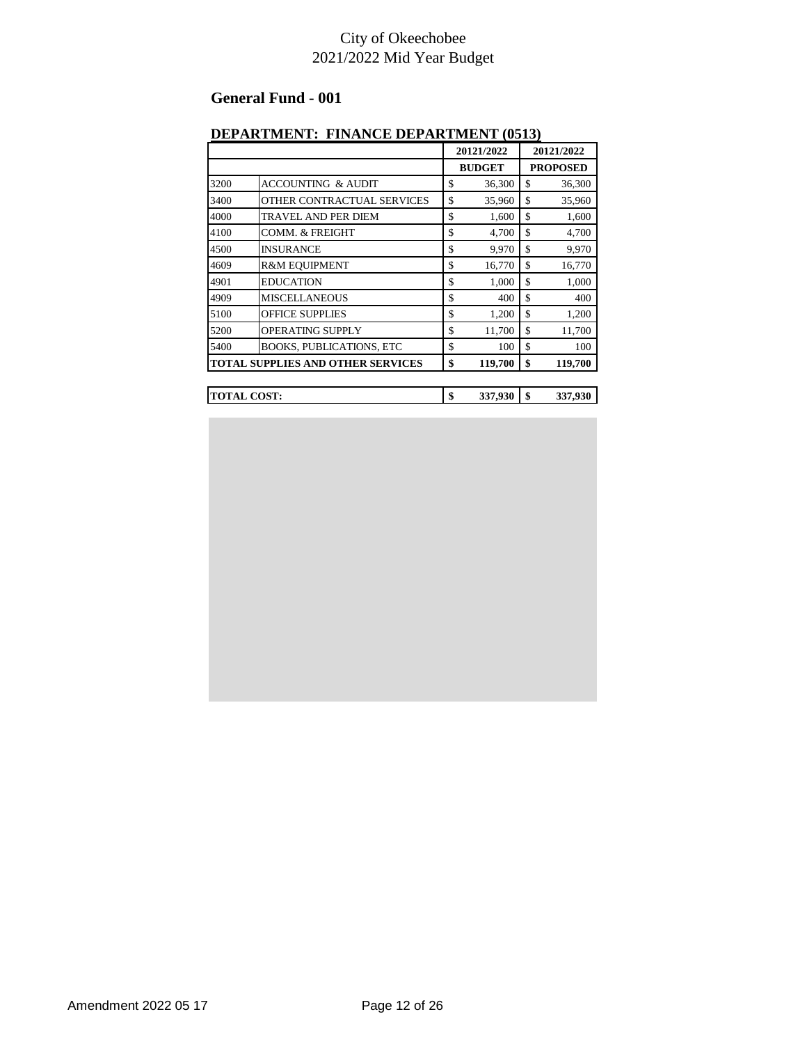#### **General Fund - 001**

#### **DEPARTMENT: FINANCE DEPARTMENT (0513)**

|                    |                                          | 20121/2022 |               |    | 20121/2022      |
|--------------------|------------------------------------------|------------|---------------|----|-----------------|
|                    |                                          |            | <b>BUDGET</b> |    | <b>PROPOSED</b> |
| 3200               | <b>ACCOUNTING &amp; AUDIT</b>            | \$         | 36,300        | \$ | 36,300          |
| 3400               | OTHER CONTRACTUAL SERVICES               | \$         | 35,960        | \$ | 35,960          |
| 4000               | <b>TRAVEL AND PER DIEM</b>               | \$         | 1,600         | \$ | 1,600           |
| 4100               | <b>COMM. &amp; FREIGHT</b>               | \$         | 4,700         | \$ | 4,700           |
| 4500               | <b>INSURANCE</b>                         | \$         | 9,970         | \$ | 9,970           |
| 4609               | R&M EQUIPMENT                            | \$         | 16,770        | \$ | 16,770          |
| 4901               | <b>EDUCATION</b>                         | \$         | 1,000         | \$ | 1,000           |
| 4909               | <b>MISCELLANEOUS</b>                     | \$         | 400           | \$ | 400             |
| 5100               | <b>OFFICE SUPPLIES</b>                   | \$         | 1,200         | \$ | 1,200           |
| 5200               | <b>OPERATING SUPPLY</b>                  | \$         | 11,700        | \$ | 11,700          |
| 5400               | <b>BOOKS, PUBLICATIONS, ETC</b>          | \$         | 100           | \$ | 100             |
|                    | <b>TOTAL SUPPLIES AND OTHER SERVICES</b> | \$         | 119,700       | \$ | 119,700         |
|                    |                                          |            |               |    |                 |
| <b>TOTAL COST:</b> |                                          | \$         | 337,930       | \$ | 337,930         |

Amendment 2022 05 17 Page 12 of 26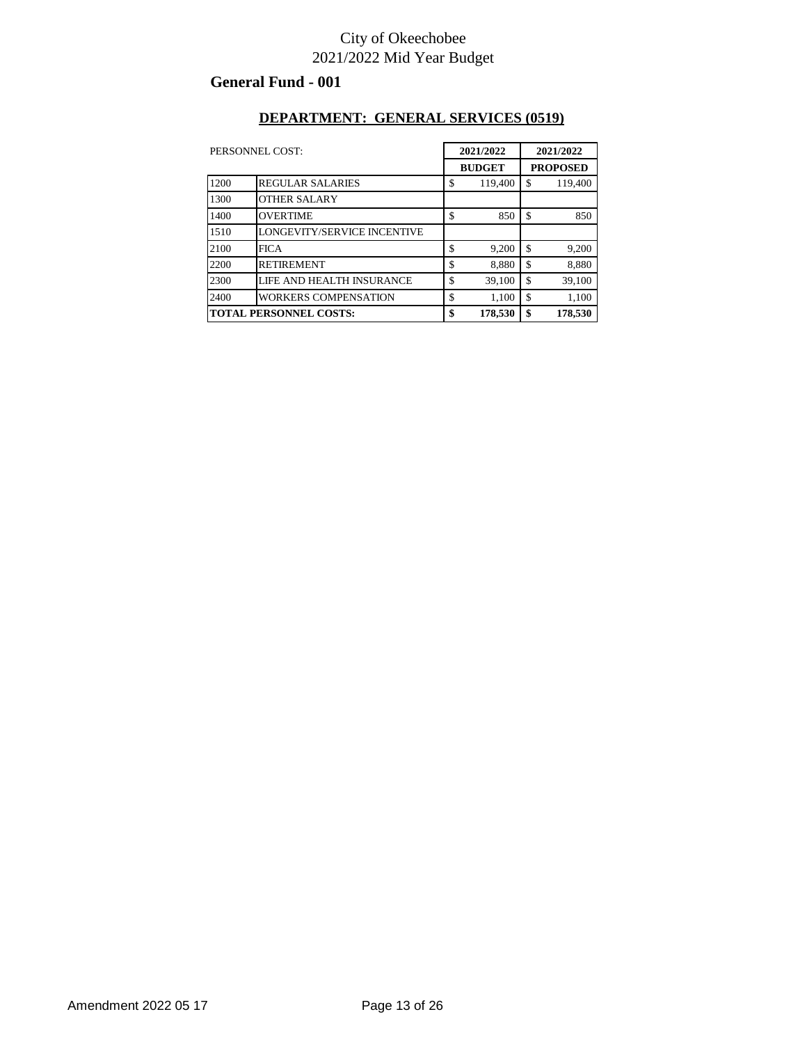#### **General Fund - 001**

#### **DEPARTMENT: GENERAL SERVICES (0519)**

|                               | PERSONNEL COST:             | 2021/2022<br><b>BUDGET</b> |         | 2021/2022<br><b>PROPOSED</b> |         |
|-------------------------------|-----------------------------|----------------------------|---------|------------------------------|---------|
|                               |                             |                            |         |                              |         |
| 1200                          | <b>REGULAR SALARIES</b>     | \$                         | 119,400 | \$                           | 119,400 |
| 1300                          | <b>OTHER SALARY</b>         |                            |         |                              |         |
| 1400                          | <b>OVERTIME</b>             | \$                         | 850     | \$                           | 850     |
| 1510                          | LONGEVITY/SERVICE INCENTIVE |                            |         |                              |         |
| 2100                          | <b>FICA</b>                 | \$                         | 9,200   | \$                           | 9,200   |
| 2200                          | <b>RETIREMENT</b>           | \$                         | 8,880   | \$                           | 8,880   |
| 2300                          | LIFE AND HEALTH INSURANCE   | \$                         | 39,100  | \$                           | 39.100  |
| 2400                          | <b>WORKERS COMPENSATION</b> | \$                         | 1,100   | \$                           | 1,100   |
| <b>TOTAL PERSONNEL COSTS:</b> |                             | \$                         | 178,530 | \$                           | 178,530 |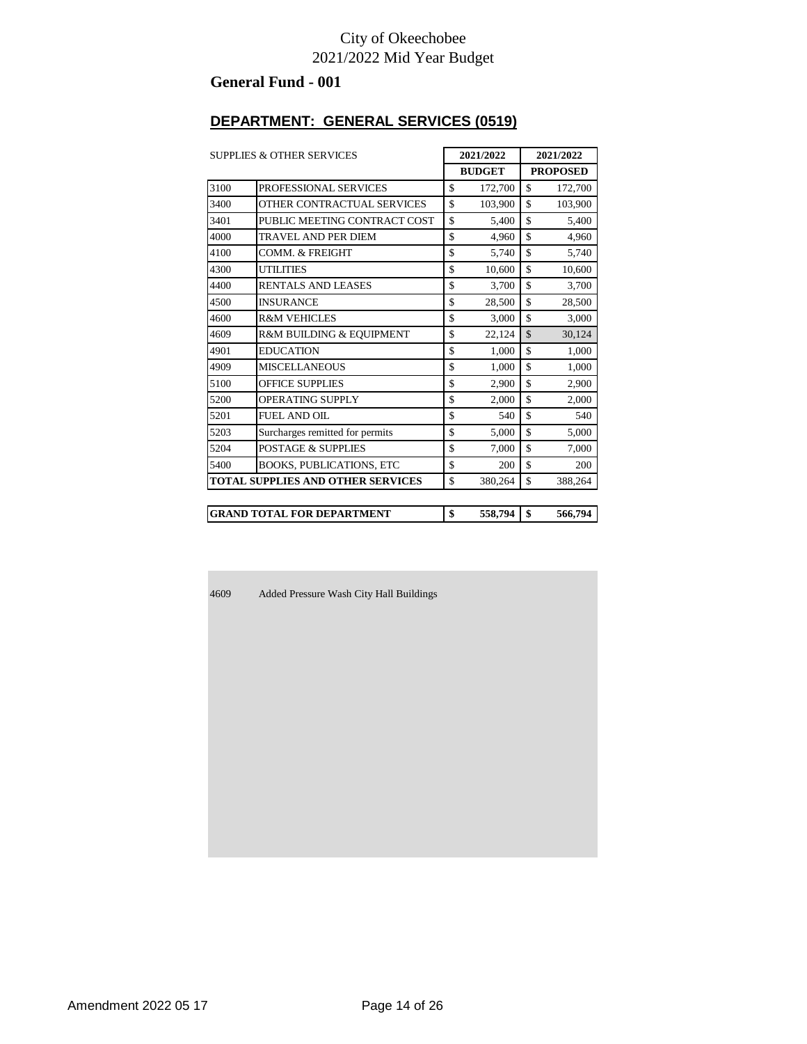#### **General Fund - 001**

### **DEPARTMENT: GENERAL SERVICES (0519)**

| <b>SUPPLIES &amp; OTHER SERVICES</b>     |                                   |               | 2021/2022 | 2021/2022 |                 |  |
|------------------------------------------|-----------------------------------|---------------|-----------|-----------|-----------------|--|
|                                          |                                   | <b>BUDGET</b> |           |           | <b>PROPOSED</b> |  |
| 3100                                     | PROFESSIONAL SERVICES             | \$            | 172,700   | \$        | 172,700         |  |
| 3400                                     | OTHER CONTRACTUAL SERVICES        | \$            | 103,900   | \$        | 103,900         |  |
| 3401                                     | PUBLIC MEETING CONTRACT COST      | \$            | 5,400     | \$        | 5,400           |  |
| 4000                                     | TRAVEL AND PER DIEM               | \$            | 4,960     | \$        | 4,960           |  |
| 4100                                     | COMM. & FREIGHT                   | \$            | 5,740     | \$        | 5,740           |  |
| 4300                                     | <b>UTILITIES</b>                  | \$            | 10,600    | \$        | 10,600          |  |
| 4400                                     | <b>RENTALS AND LEASES</b>         | \$            | 3,700     | \$        | 3,700           |  |
| 4500                                     | <b>INSURANCE</b>                  | \$            | 28,500    | \$        | 28,500          |  |
| 4600                                     | <b>R&amp;M VEHICLES</b>           | \$            | 3,000     | \$        | 3,000           |  |
| 4609                                     | R&M BUILDING & EQUIPMENT          | \$            | 22,124    | \$        | 30,124          |  |
| 4901                                     | <b>EDUCATION</b>                  | \$            | 1.000     | \$        | 1,000           |  |
| 4909                                     | <b>MISCELLANEOUS</b>              | \$            | 1,000     | \$        | 1,000           |  |
| 5100                                     | <b>OFFICE SUPPLIES</b>            | \$            | 2,900     | \$        | 2,900           |  |
| 5200                                     | <b>OPERATING SUPPLY</b>           | \$            | 2,000     | \$        | 2,000           |  |
| 5201                                     | <b>FUEL AND OIL</b>               | \$            | 540       | \$        | 540             |  |
| 5203                                     | Surcharges remitted for permits   | \$            | 5,000     | \$        | 5,000           |  |
| 5204                                     | <b>POSTAGE &amp; SUPPLIES</b>     | \$            | 7,000     | \$        | 7,000           |  |
| 5400                                     | <b>BOOKS, PUBLICATIONS, ETC</b>   | \$            | 200       | \$        | 200             |  |
| <b>TOTAL SUPPLIES AND OTHER SERVICES</b> |                                   | \$            | 380,264   | \$        | 388,264         |  |
|                                          |                                   |               |           |           |                 |  |
|                                          | <b>GRAND TOTAL FOR DEPARTMENT</b> | \$            | 558,794   | \$        | 566,794         |  |

Added Pressure Wash City Hall Buildings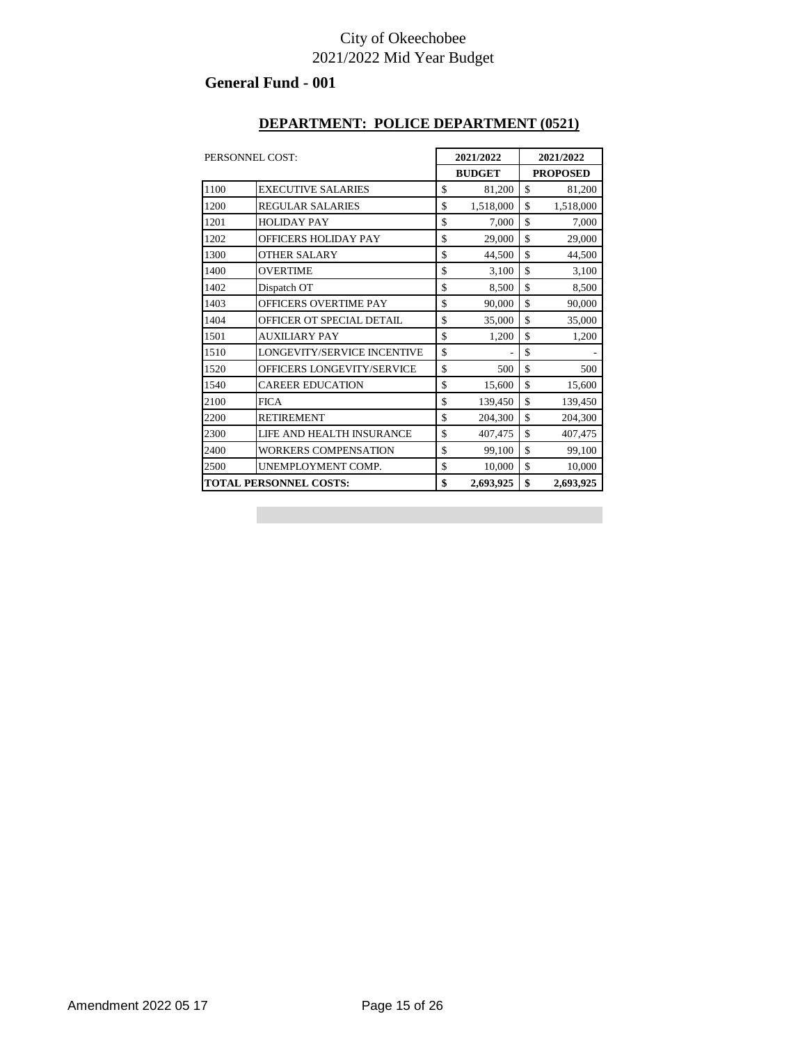#### **General Fund - 001**

#### **DEPARTMENT: POLICE DEPARTMENT (0521)**

| PERSONNEL COST: |                               |               | 2021/2022 | 2021/2022 |                 |  |
|-----------------|-------------------------------|---------------|-----------|-----------|-----------------|--|
|                 |                               | <b>BUDGET</b> |           |           | <b>PROPOSED</b> |  |
| 1100            | <b>EXECUTIVE SALARIES</b>     | \$            | 81,200    | \$        | 81,200          |  |
| 1200            | <b>REGULAR SALARIES</b>       | \$            | 1,518,000 | \$        | 1,518,000       |  |
| 1201            | <b>HOLIDAY PAY</b>            | \$            | 7,000     | \$        | 7,000           |  |
| 1202            | OFFICERS HOLIDAY PAY          | \$            | 29,000    | \$        | 29,000          |  |
| 1300            | OTHER SALARY                  | \$            | 44,500    | \$        | 44,500          |  |
| 1400            | <b>OVERTIME</b>               | \$            | 3,100     | \$        | 3,100           |  |
| 1402            | Dispatch OT                   | \$            | 8,500     | \$        | 8,500           |  |
| 1403            | OFFICERS OVERTIME PAY         | \$            | 90,000    | \$        | 90,000          |  |
| 1404            | OFFICER OT SPECIAL DETAIL     | \$            | 35,000    | \$        | 35,000          |  |
| 1501            | <b>AUXILIARY PAY</b>          | \$            | 1,200     | \$        | 1,200           |  |
| 1510            | LONGEVITY/SERVICE INCENTIVE   | \$            |           | \$        |                 |  |
| 1520            | OFFICERS LONGEVITY/SERVICE    | \$            | 500       | \$        | 500             |  |
| 1540            | <b>CAREER EDUCATION</b>       | \$            | 15,600    | \$        | 15,600          |  |
| 2100            | <b>FICA</b>                   | \$            | 139,450   | \$        | 139,450         |  |
| 2200            | <b>RETIREMENT</b>             | \$            | 204,300   | \$        | 204,300         |  |
| 2300            | LIFE AND HEALTH INSURANCE     | \$            | 407,475   | \$        | 407,475         |  |
| 2400            | <b>WORKERS COMPENSATION</b>   | \$            | 99,100    | \$        | 99,100          |  |
| 2500            | UNEMPLOYMENT COMP.            | \$            | 10,000    | \$        | 10,000          |  |
|                 | <b>TOTAL PERSONNEL COSTS:</b> |               | 2,693,925 | \$        | 2,693,925       |  |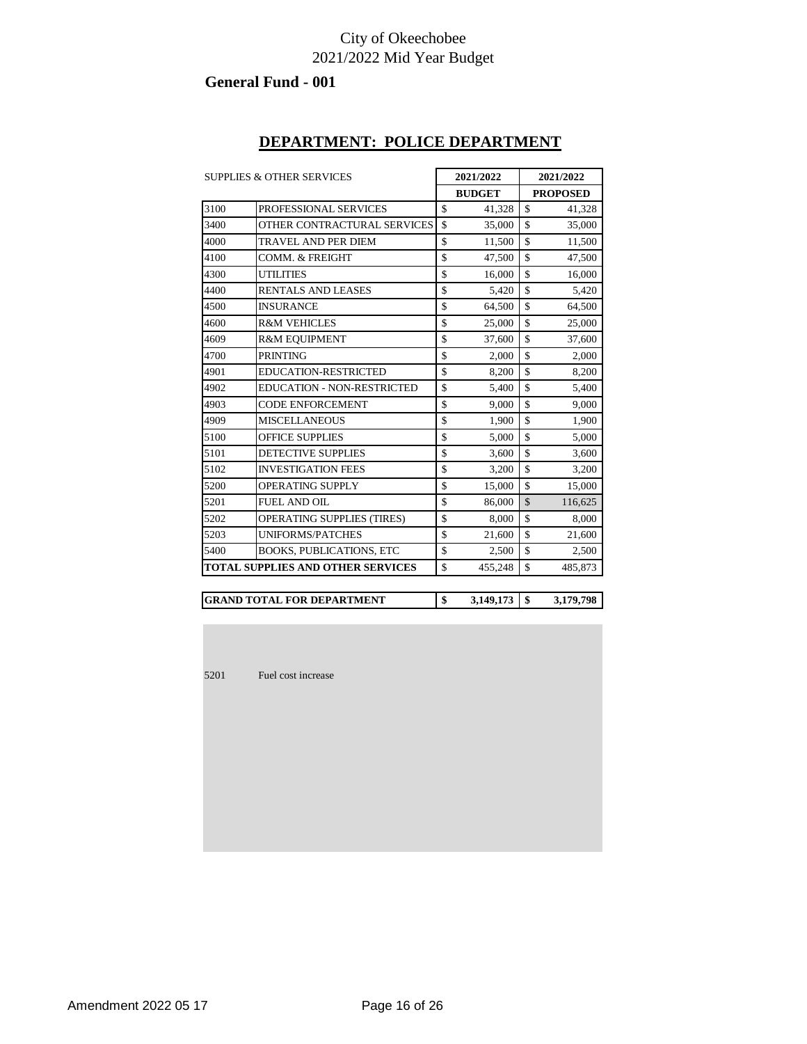#### **General Fund - 001**

### **DEPARTMENT: POLICE DEPARTMENT**

| <b>SUPPLIES &amp; OTHER SERVICES</b> |                                          |                    | 2021/2022 | 2021/2022          |                 |  |
|--------------------------------------|------------------------------------------|--------------------|-----------|--------------------|-----------------|--|
|                                      |                                          | <b>BUDGET</b>      |           |                    | <b>PROPOSED</b> |  |
| 3100                                 | PROFESSIONAL SERVICES                    | \$                 | 41,328    | \$                 | 41,328          |  |
| 3400                                 | OTHER CONTRACTURAL SERVICES              | \$                 | 35,000    | \$                 | 35,000          |  |
| 4000                                 | <b>TRAVEL AND PER DIEM</b>               | \$                 | 11,500    | $\mathbf{\hat{S}}$ | 11,500          |  |
| 4100                                 | COMM. & FREIGHT                          | \$                 | 47.500    | \$                 | 47,500          |  |
| 4300                                 | <b>UTILITIES</b>                         | \$                 | 16,000    | \$                 | 16,000          |  |
| 4400                                 | RENTALS AND LEASES                       | \$                 | 5,420     | \$                 | 5,420           |  |
| 4500                                 | <b>INSURANCE</b>                         | \$                 | 64,500    | \$                 | 64,500          |  |
| 4600                                 | <b>R&amp;M VEHICLES</b>                  | \$                 | 25,000    | \$                 | 25,000          |  |
| 4609                                 | <b>R&amp;M EQUIPMENT</b>                 | \$                 | 37,600    | \$                 | 37,600          |  |
| 4700                                 | <b>PRINTING</b>                          | \$                 | 2.000     | \$                 | 2.000           |  |
| 4901                                 | EDUCATION-RESTRICTED                     | \$                 | 8,200     | \$                 | 8,200           |  |
| 4902                                 | <b>EDUCATION - NON-RESTRICTED</b>        | \$                 | 5,400     | \$                 | 5,400           |  |
| 4903                                 | <b>CODE ENFORCEMENT</b>                  | \$                 | 9,000     | \$                 | 9,000           |  |
| 4909                                 | <b>MISCELLANEOUS</b>                     | $\mathbf{\hat{S}}$ | 1,900     | $\mathbf{\hat{S}}$ | 1,900           |  |
| 5100                                 | <b>OFFICE SUPPLIES</b>                   | \$                 | 5,000     | \$                 | 5,000           |  |
| 5101                                 | <b>DETECTIVE SUPPLIES</b>                | \$                 | 3,600     | \$                 | 3,600           |  |
| 5102                                 | <b>INVESTIGATION FEES</b>                | \$                 | 3,200     | \$                 | 3,200           |  |
| 5200                                 | <b>OPERATING SUPPLY</b>                  | \$                 | 15,000    | \$                 | 15,000          |  |
| 5201                                 | <b>FUEL AND OIL</b>                      | \$                 | 86,000    | $\mathcal{S}$      | 116,625         |  |
| 5202                                 | <b>OPERATING SUPPLIES (TIRES)</b>        | \$                 | 8,000     | \$                 | 8,000           |  |
| 5203                                 | <b>UNIFORMS/PATCHES</b>                  | \$                 | 21,600    | \$                 | 21,600          |  |
| 5400                                 | <b>BOOKS, PUBLICATIONS, ETC</b>          | \$                 | 2,500     | \$                 | 2,500           |  |
|                                      | <b>TOTAL SUPPLIES AND OTHER SERVICES</b> | $\mathbf{\hat{S}}$ | 455,248   | \$                 | 485,873         |  |

**\$ 3,149,173 \$ 3,179,798 GRAND TOTAL FOR DEPARTMENT**

Fuel cost increase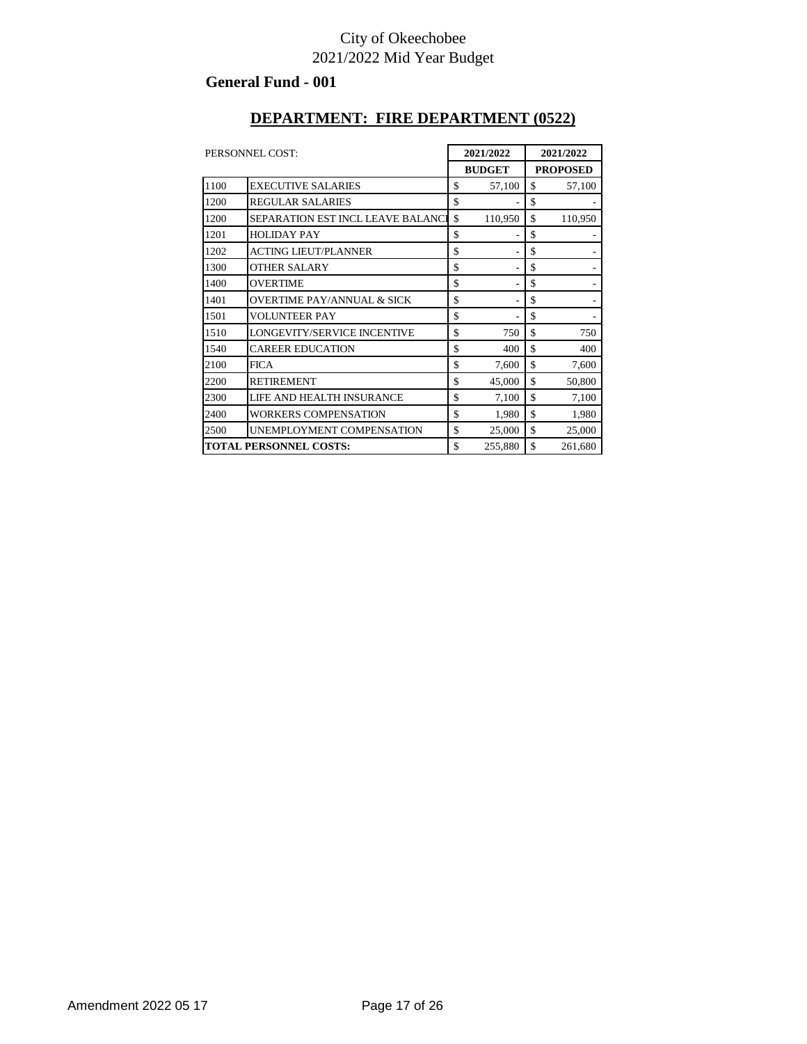#### **General Fund - 001**

#### **DEPARTMENT: FIRE DEPARTMENT (0522)**

| PERSONNEL COST:               |                                          | 2021/2022 |         | 2021/2022       |         |
|-------------------------------|------------------------------------------|-----------|---------|-----------------|---------|
|                               | <b>BUDGET</b>                            |           |         | <b>PROPOSED</b> |         |
| 1100                          | <b>EXECUTIVE SALARIES</b>                | \$        | 57,100  | \$              | 57,100  |
| 1200                          | <b>REGULAR SALARIES</b>                  | \$        |         | \$              |         |
| 1200                          | <b>SEPARATION EST INCL LEAVE BALANCE</b> | \$        | 110,950 | \$              | 110,950 |
| 1201                          | <b>HOLIDAY PAY</b>                       | \$        |         | \$              |         |
| 1202                          | <b>ACTING LIEUT/PLANNER</b>              | \$        |         | \$              |         |
| 1300                          | <b>OTHER SALARY</b>                      | \$        |         | \$              |         |
| 1400                          | <b>OVERTIME</b>                          | \$        |         | \$              |         |
| 1401                          | <b>OVERTIME PAY/ANNUAL &amp; SICK</b>    | \$        |         | \$              |         |
| 1501                          | <b>VOLUNTEER PAY</b>                     | \$        |         | \$              |         |
| 1510                          | LONGEVITY/SERVICE INCENTIVE              | \$        | 750     | \$              | 750     |
| 1540                          | <b>CAREER EDUCATION</b>                  | \$        | 400     | \$              | 400     |
| 2100                          | <b>FICA</b>                              | \$        | 7,600   | \$              | 7,600   |
| 2200                          | <b>RETIREMENT</b>                        | \$        | 45,000  | \$              | 50,800  |
| 2300                          | LIFE AND HEALTH INSURANCE                | \$        | 7,100   | \$              | 7,100   |
| 2400                          | <b>WORKERS COMPENSATION</b>              | \$        | 1,980   | \$              | 1,980   |
| 2500                          | UNEMPLOYMENT COMPENSATION                | \$        | 25,000  | \$              | 25,000  |
| <b>TOTAL PERSONNEL COSTS:</b> |                                          | \$        | 255,880 | \$              | 261,680 |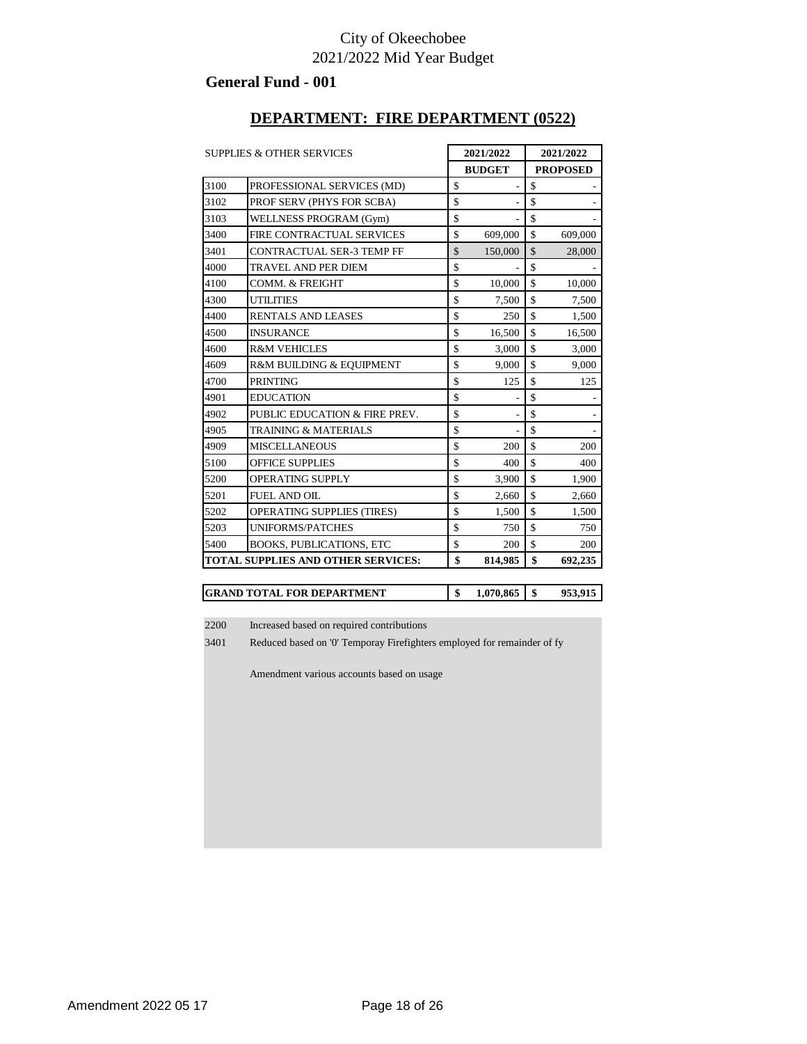#### **General Fund - 001**

#### **DEPARTMENT: FIRE DEPARTMENT (0522)**

|      | <b>SUPPLIES &amp; OTHER SERVICES</b><br>2021/2022 |    | 2021/2022     |                    |                 |
|------|---------------------------------------------------|----|---------------|--------------------|-----------------|
|      |                                                   |    | <b>BUDGET</b> |                    | <b>PROPOSED</b> |
| 3100 | PROFESSIONAL SERVICES (MD)                        | \$ |               | \$                 |                 |
| 3102 | PROF SERV (PHYS FOR SCBA)                         | \$ |               | \$                 |                 |
| 3103 | WELLNESS PROGRAM (Gym)                            | \$ |               | \$                 |                 |
| 3400 | <b>FIRE CONTRACTUAL SERVICES</b>                  | \$ | 609,000       | \$                 | 609,000         |
| 3401 | CONTRACTUAL SER-3 TEMP FF                         | \$ | 150,000       | \$                 | 28,000          |
| 4000 | <b>TRAVEL AND PER DIEM</b>                        | \$ |               | \$                 |                 |
| 4100 | <b>COMM. &amp; FREIGHT</b>                        | \$ | 10,000        | \$                 | 10,000          |
| 4300 | <b>UTILITIES</b>                                  | \$ | 7,500         | \$                 | 7,500           |
| 4400 | <b>RENTALS AND LEASES</b>                         | \$ | 250           | \$                 | 1,500           |
| 4500 | <b>INSURANCE</b>                                  | \$ | 16,500        | \$                 | 16,500          |
| 4600 | <b>R&amp;M VEHICLES</b>                           | \$ | 3,000         | \$                 | 3,000           |
| 4609 | R&M BUILDING & EQUIPMENT                          | \$ | 9,000         | \$                 | 9,000           |
| 4700 | <b>PRINTING</b>                                   | \$ | 125           | \$                 | 125             |
| 4901 | <b>EDUCATION</b>                                  | \$ |               | \$                 |                 |
| 4902 | PUBLIC EDUCATION & FIRE PREV.                     | \$ |               | \$                 |                 |
| 4905 | <b>TRAINING &amp; MATERIALS</b>                   | \$ |               | \$                 |                 |
| 4909 | <b>MISCELLANEOUS</b>                              | \$ | 200           | \$                 | 200             |
| 5100 | <b>OFFICE SUPPLIES</b>                            | \$ | 400           | $\mathbf{\hat{S}}$ | 400             |
| 5200 | <b>OPERATING SUPPLY</b>                           | \$ | 3,900         | \$                 | 1,900           |
| 5201 | <b>FUEL AND OIL</b>                               | \$ | 2,660         | \$                 | 2,660           |
| 5202 | <b>OPERATING SUPPLIES (TIRES)</b>                 | \$ | 1,500         | \$                 | 1,500           |
| 5203 | <b>UNIFORMS/PATCHES</b>                           | \$ | 750           | \$                 | 750             |
| 5400 | <b>BOOKS, PUBLICATIONS, ETC</b>                   | \$ | 200           | $\mathbf{\hat{S}}$ | 200             |
|      | <b>TOTAL SUPPLIES AND OTHER SERVICES:</b>         | \$ | 814,985       | \$                 | 692,235         |

| IGRAND TOTAL FOR DEPARTMENT |  | 1.070.865 |  | 953.915 |
|-----------------------------|--|-----------|--|---------|
|-----------------------------|--|-----------|--|---------|

Increased based on required contributions

Reduced based on '0' Temporay Firefighters employed for remainder of fy

Amendment various accounts based on usage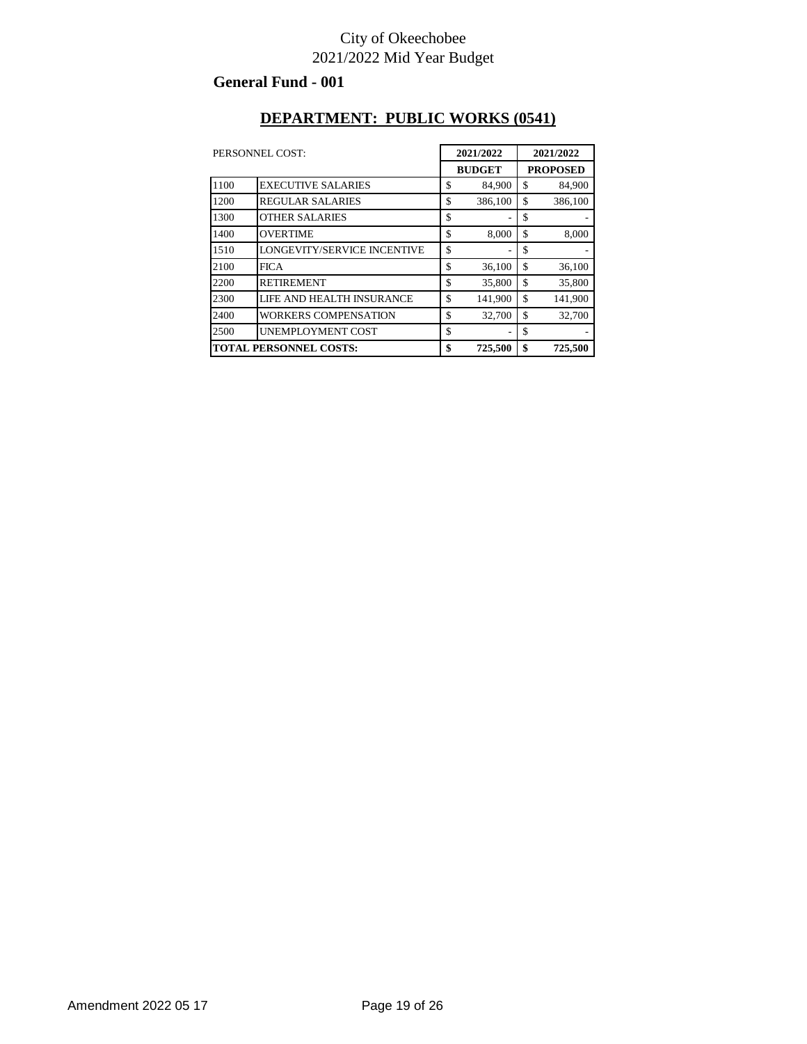#### **General Fund - 001**

#### **DEPARTMENT: PUBLIC WORKS (0541)**

|                               | PERSONNEL COST:             | 2021/2022 |               | 2021/2022 |                 |
|-------------------------------|-----------------------------|-----------|---------------|-----------|-----------------|
|                               |                             |           | <b>BUDGET</b> |           | <b>PROPOSED</b> |
| 1100                          | <b>EXECUTIVE SALARIES</b>   | \$        | 84,900        | \$        | 84,900          |
| 1200                          | <b>REGULAR SALARIES</b>     | \$        | 386,100       | \$        | 386,100         |
| 1300                          | <b>OTHER SALARIES</b>       | \$        |               | \$        |                 |
| 1400                          | <b>OVERTIME</b>             | \$        | 8,000         | \$        | 8,000           |
| 1510                          | LONGEVITY/SERVICE INCENTIVE | \$        |               | \$        |                 |
| 2100                          | <b>FICA</b>                 | \$        | 36,100        | \$        | 36,100          |
| 2200                          | <b>RETIREMENT</b>           | \$        | 35,800        | \$        | 35,800          |
| 2300                          | LIFE AND HEALTH INSURANCE   | \$        | 141,900       | \$        | 141,900         |
| 2400                          | <b>WORKERS COMPENSATION</b> | \$        | 32,700        | \$        | 32,700          |
| 2500                          | UNEMPLOYMENT COST           | \$        |               | \$        |                 |
| <b>TOTAL PERSONNEL COSTS:</b> |                             | \$        | 725,500       | \$        | 725,500         |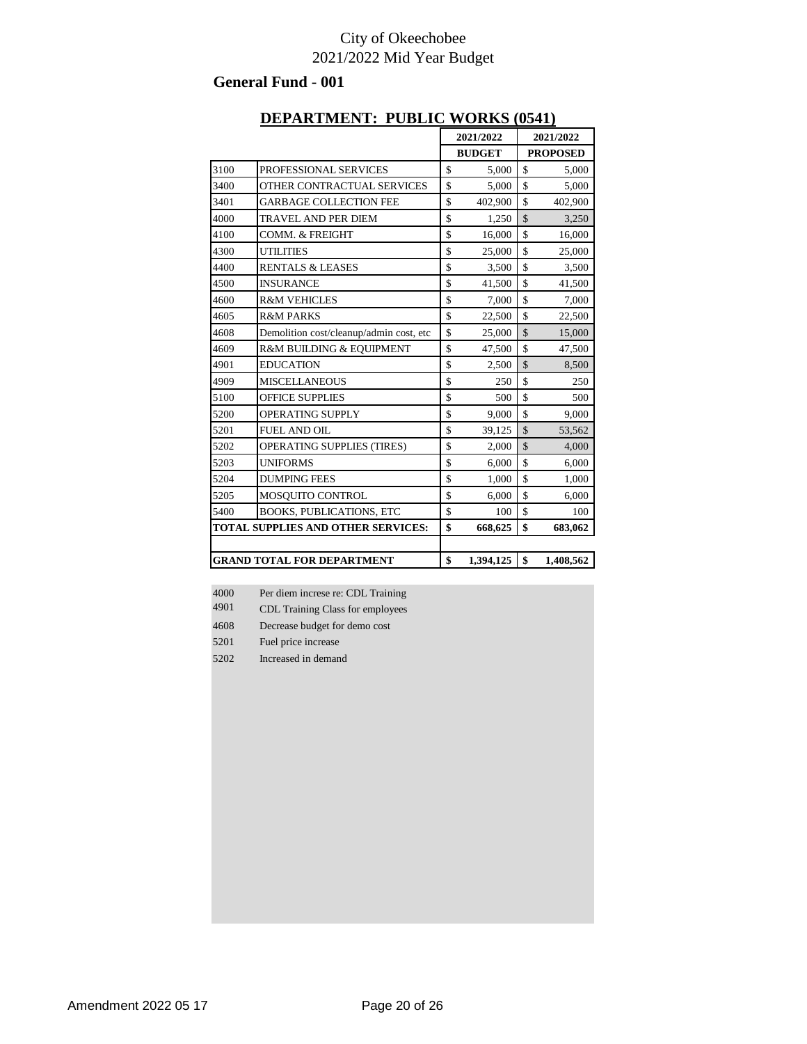#### **General Fund - 001**

|      | DEFANTMENT; FUDLIC WONNS (0541) |               |               |                 |
|------|---------------------------------|---------------|---------------|-----------------|
|      |                                 | 2021/2022     |               | 2021/2022       |
|      |                                 | <b>BUDGET</b> |               | <b>PROPOSED</b> |
| 3100 | PROFESSIONAL SERVICES           | \$<br>5,000   | S             | 5,000           |
| 3400 | OTHER CONTRACTUAL SERVICES      | \$<br>5,000   | \$            | 5,000           |
| 3401 | <b>GARBAGE COLLECTION FEE</b>   | \$<br>402,900 | \$            | 402,900         |
| 4000 | <b>TRAVEL AND PER DIEM</b>      | \$<br>1,250   | $\mathcal{S}$ | 3,250           |
| 4100 | <b>COMM. &amp; FREIGHT</b>      | \$<br>16,000  | \$            | 16,000          |
| 4300 | <b>UTILITIES</b>                | \$<br>25,000  | \$            | 25,000          |
|      |                                 |               |               |                 |

#### **DEPARTMENT: PUBLIC WORKS (0541)**

|                                           | <b>GRAND TOTAL FOR DEPARTMENT</b>       | \$<br>1,394,125 | \$<br>1,408,562 |
|-------------------------------------------|-----------------------------------------|-----------------|-----------------|
|                                           |                                         |                 |                 |
| <b>TOTAL SUPPLIES AND OTHER SERVICES:</b> |                                         | \$<br>668,625   | \$<br>683,062   |
| 5400                                      | <b>BOOKS, PUBLICATIONS, ETC</b>         | \$<br>100       | \$<br>100       |
| 5205                                      | MOSQUITO CONTROL                        | \$<br>6,000     | \$<br>6,000     |
| 5204                                      | <b>DUMPING FEES</b>                     | \$<br>1,000     | \$<br>1,000     |
| 5203                                      | <b>UNIFORMS</b>                         | \$<br>6,000     | \$<br>6,000     |
| 5202                                      | <b>OPERATING SUPPLIES (TIRES)</b>       | \$<br>2,000     | \$<br>4,000     |
| 5201                                      | <b>FUEL AND OIL</b>                     | \$<br>39,125    | \$<br>53,562    |
| 5200                                      | <b>OPERATING SUPPLY</b>                 | \$<br>9,000     | \$<br>9,000     |
| 5100                                      | <b>OFFICE SUPPLIES</b>                  | \$<br>500       | \$<br>500       |
| 4909                                      | <b>MISCELLANEOUS</b>                    | \$<br>250       | \$<br>250       |
| 4901                                      | <b>EDUCATION</b>                        | \$<br>2,500     | \$<br>8,500     |
| 4609                                      | R&M BUILDING & EQUIPMENT                | \$<br>47,500    | \$<br>47,500    |
| 4608                                      | Demolition cost/cleanup/admin cost, etc | \$<br>25,000    | \$<br>15,000    |
| 4605                                      | <b>R&amp;M PARKS</b>                    | \$<br>22,500    | \$<br>22,500    |
| 4600                                      | <b>R&amp;M VEHICLES</b>                 | \$<br>7,000     | \$<br>7,000     |
| 4500                                      | <b>INSURANCE</b>                        | \$<br>41,500    | \$<br>41,500    |
| 4400                                      | <b>RENTALS &amp; LEASES</b>             | \$<br>3,500     | \$<br>3,500     |
| 4300                                      | <b>UTILITIES</b>                        | \$<br>25,000    | \$<br>25,000    |
| 4100                                      | <b>COMM. &amp; FREIGHT</b>              | \$<br>16,000    | \$<br>16,000    |
| 4000                                      | <b>TRAVEL AND PER DIEM</b>              | \$<br>1,250     | \$<br>3,250     |
| 3401                                      | <b>GARBAGE COLLECTION FEE</b>           | \$<br>402,900   | \$<br>402,900   |

4000<br>4901 Per diem increse re: CDL Training

- CDL Training Class for employees
- Decrease budget for demo cost
- Fuel price increase
- Increased in demand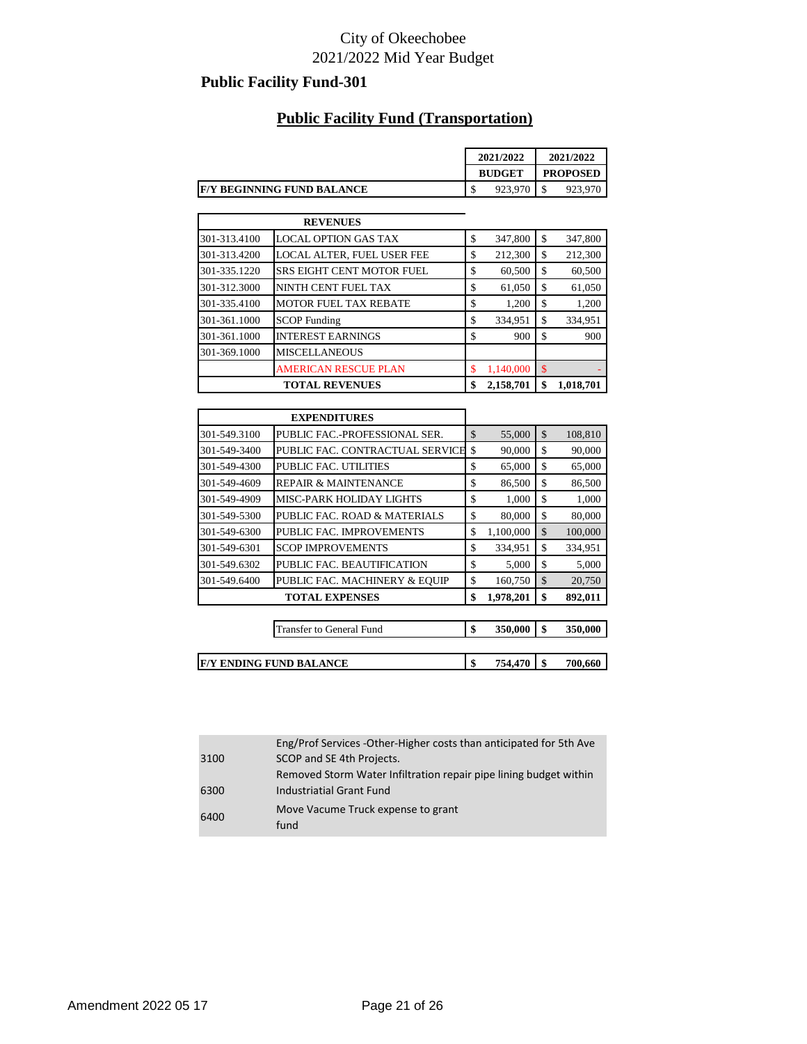### **Public Facility Fund-301**

#### **Public Facility Fund (Transportation)**

| 2021/2022 |         | 2021/2022       |  |
|-----------|---------|-----------------|--|
|           |         | <b>PROPOSED</b> |  |
| D         | 923,970 | Φ               |  |
|           |         | <b>BUDGET</b>   |  |

|              | <b>REVENUES</b>                  |                 |     |           |
|--------------|----------------------------------|-----------------|-----|-----------|
| 301-313.4100 | <b>LOCAL OPTION GAS TAX</b>      | \$<br>347,800   | \$  | 347,800   |
| 301-313.4200 | LOCAL ALTER, FUEL USER FEE       | \$<br>212,300   | \$  | 212,300   |
| 301-335.1220 | <b>SRS EIGHT CENT MOTOR FUEL</b> | \$<br>60,500    | \$  | 60,500    |
| 301-312.3000 | NINTH CENT FUEL TAX              | \$<br>61,050    | \$  | 61,050    |
| 301-335.4100 | <b>MOTOR FUEL TAX REBATE</b>     | \$<br>1,200     | \$  | 1,200     |
| 301-361.1000 | <b>SCOP</b> Funding              | \$<br>334,951   | \$  | 334,951   |
| 301-361.1000 | <b>INTEREST EARNINGS</b>         | \$<br>900       | \$  | 900       |
| 301-369.1000 | <b>MISCELLANEOUS</b>             |                 |     |           |
|              | <b>AMERICAN RESCUE PLAN</b>      | \$<br>1.140.000 | \$. |           |
|              | <b>TOTAL REVENUES</b>            | \$<br>2,158,701 | \$  | 1,018,701 |

|              | <b>EXPENDITURES</b>             |                 |               |
|--------------|---------------------------------|-----------------|---------------|
| 301-549.3100 | PUBLIC FAC.-PROFESSIONAL SER.   | \$<br>55,000    | \$<br>108,810 |
| 301-549-3400 | PUBLIC FAC. CONTRACTUAL SERVICE | \$<br>90,000    | \$<br>90,000  |
| 301-549-4300 | PUBLIC FAC. UTILITIES           | \$<br>65,000    | \$<br>65,000  |
| 301-549-4609 | <b>REPAIR &amp; MAINTENANCE</b> | \$<br>86,500    | \$<br>86,500  |
| 301-549-4909 | <b>MISC-PARK HOLIDAY LIGHTS</b> | \$<br>1,000     | \$<br>1,000   |
| 301-549-5300 | PUBLIC FAC. ROAD & MATERIALS    | \$<br>80,000    | \$<br>80,000  |
| 301-549-6300 | PUBLIC FAC. IMPROVEMENTS        | \$<br>1,100,000 | \$<br>100,000 |
| 301-549-6301 | <b>SCOP IMPROVEMENTS</b>        | \$<br>334,951   | \$<br>334,951 |
| 301-549.6302 | PUBLIC FAC. BEAUTIFICATION      | \$<br>5,000     | \$<br>5,000   |
| 301-549.6400 | PUBLIC FAC. MACHINERY & EQUIP   | \$<br>160,750   | \$<br>20,750  |
|              | <b>TOTAL EXPENSES</b>           | \$<br>1,978,201 | \$<br>892,011 |

| Transfer to General Fund       | æ | 350,000 | 350,000 |
|--------------------------------|---|---------|---------|
|                                |   |         |         |
| <b>F/Y ENDING FUND BALANCE</b> | æ | 754,470 | 700,660 |

|      | Eng/Prof Services -Other-Higher costs than anticipated for 5th Ave |
|------|--------------------------------------------------------------------|
| 3100 | SCOP and SE 4th Projects.                                          |
|      | Removed Storm Water Infiltration repair pipe lining budget within  |
| 6300 | <b>Industriatial Grant Fund</b>                                    |
| 6400 | Move Vacume Truck expense to grant<br>fund                         |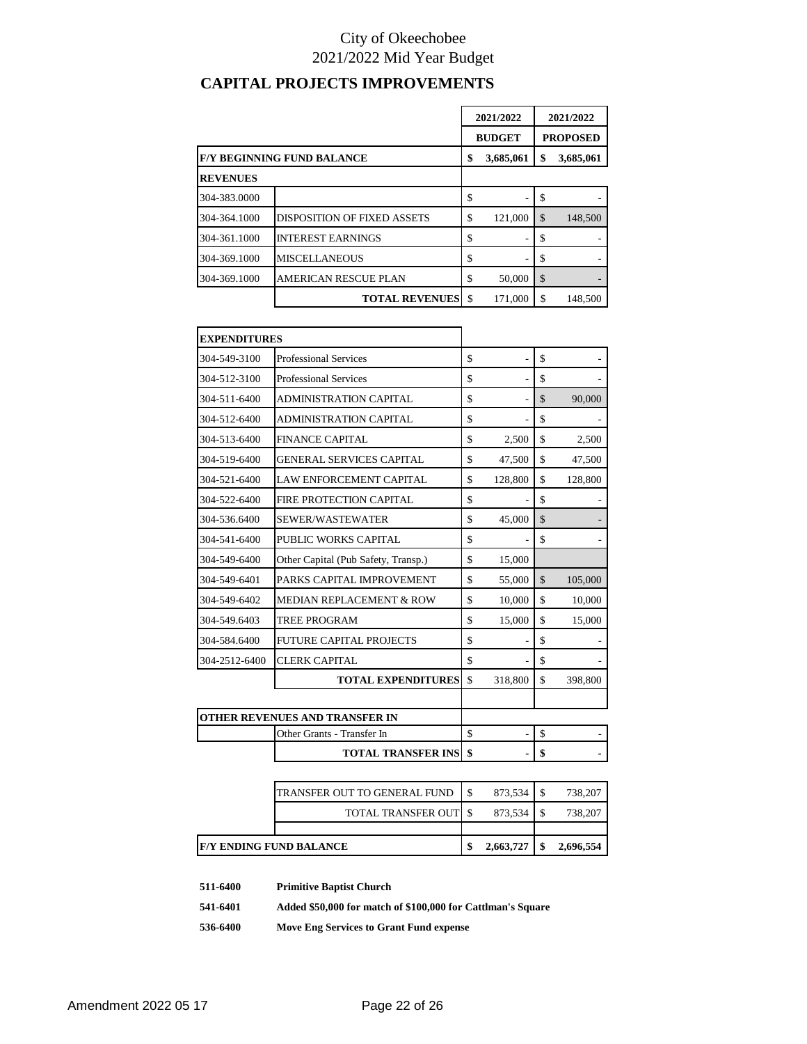# **CAPITAL PROJECTS IMPROVEMENTS**

|                 |                                                      | 2021/2022 |               | 2021/2022 |                 |
|-----------------|------------------------------------------------------|-----------|---------------|-----------|-----------------|
|                 |                                                      |           | <b>BUDGET</b> |           | <b>PROPOSED</b> |
|                 | <b>F/Y BEGINNING FUND BALANCE</b><br>3,685,061<br>\$ |           | \$            | 3,685,061 |                 |
| <b>REVENUES</b> |                                                      |           |               |           |                 |
| 304-383.0000    |                                                      | \$        |               | \$        |                 |
| 304-364.1000    | <b>DISPOSITION OF FIXED ASSETS</b>                   | \$        | 121.000       | \$        | 148,500         |
| 304-361.1000    | <b>INTEREST EARNINGS</b>                             | \$        |               | \$        |                 |
| 304-369.1000    | <b>MISCELLANEOUS</b>                                 | \$        |               | S         |                 |
| 304-369.1000    | <b>AMERICAN RESCUE PLAN</b>                          | \$        | 50,000        | \$        |                 |
|                 | <b>TOTAL REVENUES</b>                                | -\$       | 171.000       | \$        | 148,500         |

| <b>EXPENDITURES</b> |                                     |                      |               |         |
|---------------------|-------------------------------------|----------------------|---------------|---------|
| 304-549-3100        | <b>Professional Services</b>        | \$<br>ä,             | \$            |         |
| 304-512-3100        | <b>Professional Services</b>        | \$<br>÷,             | \$            |         |
| 304-511-6400        | <b>ADMINISTRATION CAPITAL</b>       | \$<br>ä,             | \$            | 90,000  |
| 304-512-6400        | <b>ADMINISTRATION CAPITAL</b>       | \$                   | \$            |         |
| 304-513-6400        | <b>FINANCE CAPITAL</b>              | \$<br>2,500          | \$            | 2,500   |
| 304-519-6400        | <b>GENERAL SERVICES CAPITAL</b>     | \$<br>47,500         | \$            | 47,500  |
| 304-521-6400        | <b>LAW ENFORCEMENT CAPITAL</b>      | \$<br>128,800        | \$            | 128,800 |
| 304-522-6400        | FIRE PROTECTION CAPITAL             | \$                   | \$            |         |
| 304-536.6400        | SEWER/WASTEWATER                    | \$<br>45,000         | $\mathcal{S}$ |         |
| 304-541-6400        | PUBLIC WORKS CAPITAL                | \$                   | \$            |         |
| 304-549-6400        | Other Capital (Pub Safety, Transp.) | \$<br>15,000         |               |         |
| 304-549-6401        | PARKS CAPITAL IMPROVEMENT           | \$<br>55,000         | \$            | 105,000 |
| 304-549-6402        | MEDIAN REPLACEMENT & ROW            | \$<br>10,000         | \$            | 10,000  |
| 304-549.6403        | <b>TREE PROGRAM</b>                 | \$<br>15,000         | \$            | 15,000  |
| 304-584.6400        | <b>FUTURE CAPITAL PROJECTS</b>      | \$<br>$\overline{a}$ | \$            |         |
| 304-2512-6400       | <b>CLERK CAPITAL</b>                | \$                   | \$            |         |
|                     | <b>TOTAL EXPENDITURES</b>           | \$<br>318,800        | \$            | 398,800 |
|                     |                                     |                      |               |         |
|                     | OTHER REVENUES AND TRANSFER IN      |                      |               |         |
|                     | Other Grants - Transfer In          | \$<br>$\overline{a}$ | \$            |         |
|                     | <b>TOTAL TRANSFER INS</b>           | \$                   | \$            |         |

| F/Y ENDING FUND BALANCE |                                      | 2,663,727 | 2,696,554 |
|-------------------------|--------------------------------------|-----------|-----------|
|                         |                                      |           |           |
|                         | TOTAL TRANSFER OUT                   | 873.534   | 738,207   |
|                         | <b>ITRANSFER OUT TO GENERAL FUND</b> | 873.534   | 738,207   |

**511-6400 Primitive Baptist Church**

**541-6401 Added \$50,000 for match of \$100,000 for Cattlman's Square**

**536-6400 Move Eng Services to Grant Fund expense**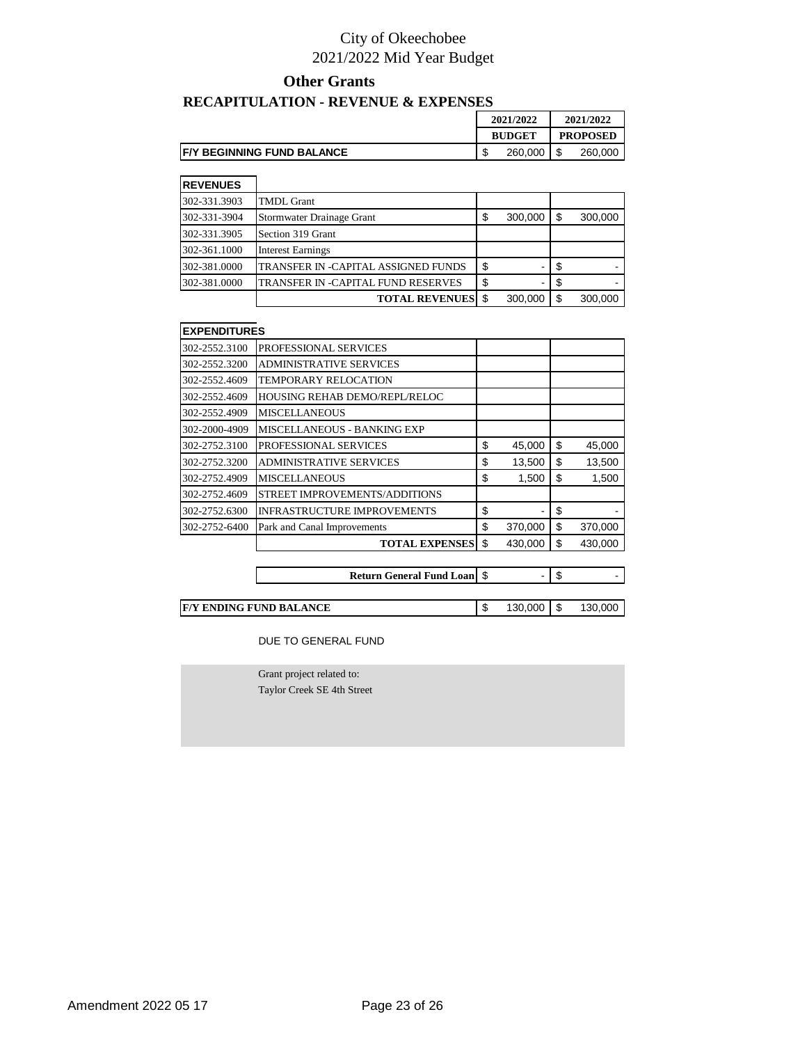#### **Other Grants**

# **RECAPITULATION - REVENUE & EXPENSES**

|                                    | 2021/2022     | 2021/2022       |         |  |
|------------------------------------|---------------|-----------------|---------|--|
|                                    | <b>BUDGET</b> | <b>PROPOSED</b> |         |  |
| <b>IF/Y BEGINNING FUND BALANCE</b> | 260.000       |                 | 260,000 |  |

| <b>REVENUES</b> |                                     |    |         |     |         |
|-----------------|-------------------------------------|----|---------|-----|---------|
| 302-331.3903    | <b>TMDL Grant</b>                   |    |         |     |         |
| 302-331-3904    | Stormwater Drainage Grant           | S  | 300,000 | S   | 300,000 |
| 302-331.3905    | Section 319 Grant                   |    |         |     |         |
| 302-361.1000    | <b>Interest Earnings</b>            |    |         |     |         |
| 302-381.0000    | TRANSFER IN -CAPITAL ASSIGNED FUNDS | \$ |         |     |         |
| 302-381.0000    | TRANSFER IN -CAPITAL FUND RESERVES  | S  | ۰       |     |         |
|                 | <b>TOTAL REVENUESI \$</b>           |    | 300,000 | \$. | 300,000 |

| <b>EXPENDITURES</b> |                                    |               |               |
|---------------------|------------------------------------|---------------|---------------|
| 302-2552.3100       | PROFESSIONAL SERVICES              |               |               |
| 302-2552.3200       | <b>ADMINISTRATIVE SERVICES</b>     |               |               |
| 302-2552.4609       | TEMPORARY RELOCATION               |               |               |
| 302-2552.4609       | HOUSING REHAB DEMO/REPL/RELOC      |               |               |
| 302-2552.4909       | <b>MISCELLANEOUS</b>               |               |               |
| 302-2000-4909       | <b>MISCELLANEOUS - BANKING EXP</b> |               |               |
| 302-2752.3100       | PROFESSIONAL SERVICES              | \$<br>45,000  | \$<br>45,000  |
| 302-2752.3200       | <b>ADMINISTRATIVE SERVICES</b>     | \$<br>13,500  | \$<br>13,500  |
| 302-2752.4909       | <b>MISCELLANEOUS</b>               | \$<br>1,500   | \$<br>1,500   |
| 302-2752.4609       | STREET IMPROVEMENTS/ADDITIONS      |               |               |
| 302-2752.6300       | <b>INFRASTRUCTURE IMPROVEMENTS</b> | \$            | \$            |
| 302-2752-6400       | Park and Canal Improvements        | \$<br>370,000 | \$<br>370,000 |
|                     | <b>TOTAL EXPENSES</b>              | \$<br>430,000 | \$<br>430,000 |
|                     |                                    |               |               |

| <b>Return General Fund Loan   \$</b> |  |
|--------------------------------------|--|
|                                      |  |

**F/Y ENDING FUND BALANCE** <br> **S** 130,000 \$ 130,000

DUE TO GENERAL FUND

Grant project related to: Taylor Creek SE 4th Street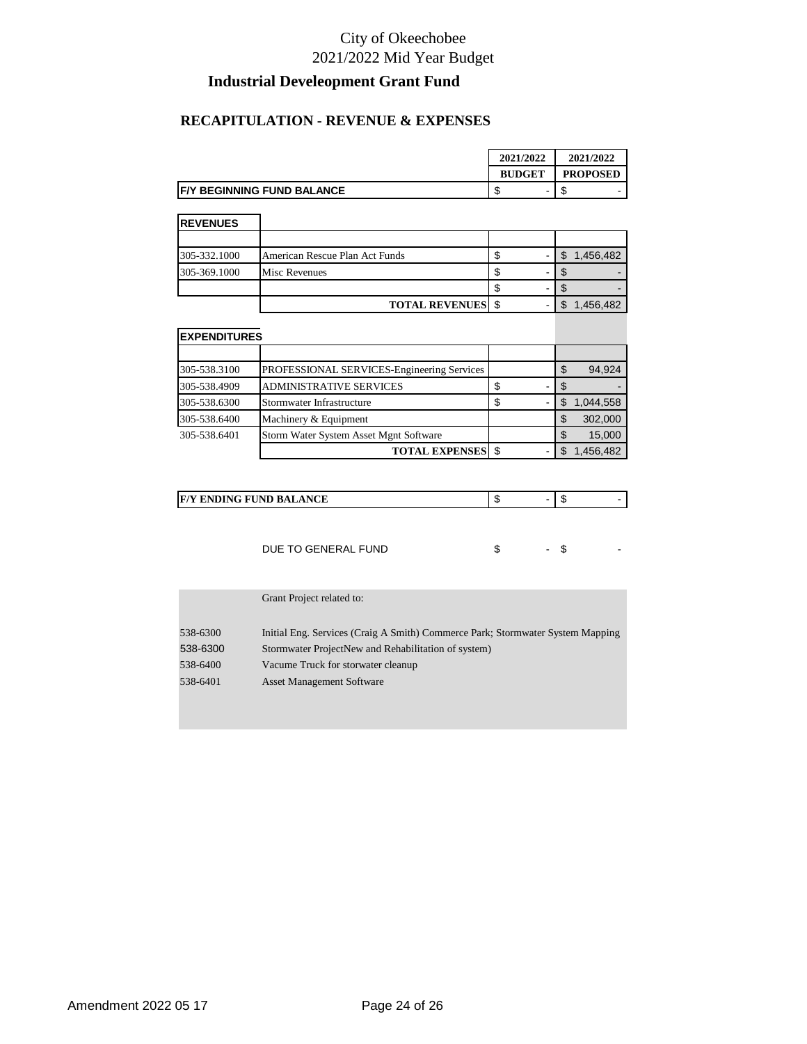### **Industrial Develeopment Grant Fund**

#### **RECAPITULATION - REVENUE & EXPENSES**

|                                    | 2021/2022     | 2021/2022       |
|------------------------------------|---------------|-----------------|
|                                    | <b>BUDGET</b> | <b>PROPOSED</b> |
| <b>IF/Y BEGINNING FUND BALANCE</b> | -             | -<br>۰D         |

| <b>REVENUES</b> |                                |  |           |
|-----------------|--------------------------------|--|-----------|
|                 |                                |  |           |
| 305-332.1000    | American Rescue Plan Act Funds |  | 1,456,482 |
| 305-369.1000    | <b>Misc Revenues</b>           |  |           |
|                 |                                |  |           |
|                 | <b>TOTAL REVENUES</b> \$       |  | 1,456,482 |

| <b>EXPENDITURES</b> |                                            |   |   |                 |
|---------------------|--------------------------------------------|---|---|-----------------|
|                     |                                            |   |   |                 |
| 305-538.3100        | PROFESSIONAL SERVICES-Engineering Services |   |   | \$<br>94,924    |
| 305-538.4909        | <b>ADMINISTRATIVE SERVICES</b>             |   |   | \$              |
| 305-538.6300        | Stormwater Infrastructure                  | S | - | \$<br>1,044,558 |
| 305-538.6400        | Machinery & Equipment                      |   |   | \$<br>302,000   |
| 305-538.6401        | Storm Water System Asset Mgnt Software     |   |   | \$<br>15,000    |
|                     | <b>TOTAL EXPENSES</b>                      |   |   | 1,456,482       |

| <b>ENDING FUND BALANCE</b> |
|----------------------------|
|----------------------------|

| DUE TO GENERAL FUND |  |  |  |
|---------------------|--|--|--|
|---------------------|--|--|--|

|          | Grant Project related to:                                                      |
|----------|--------------------------------------------------------------------------------|
| 538-6300 | Initial Eng. Services (Craig A Smith) Commerce Park; Stormwater System Mapping |
| 538-6300 | Stormwater ProjectNew and Rehabilitation of system)                            |
| 538-6400 | Vacume Truck for storwater cleanup                                             |
| 538-6401 | <b>Asset Management Software</b>                                               |
|          |                                                                                |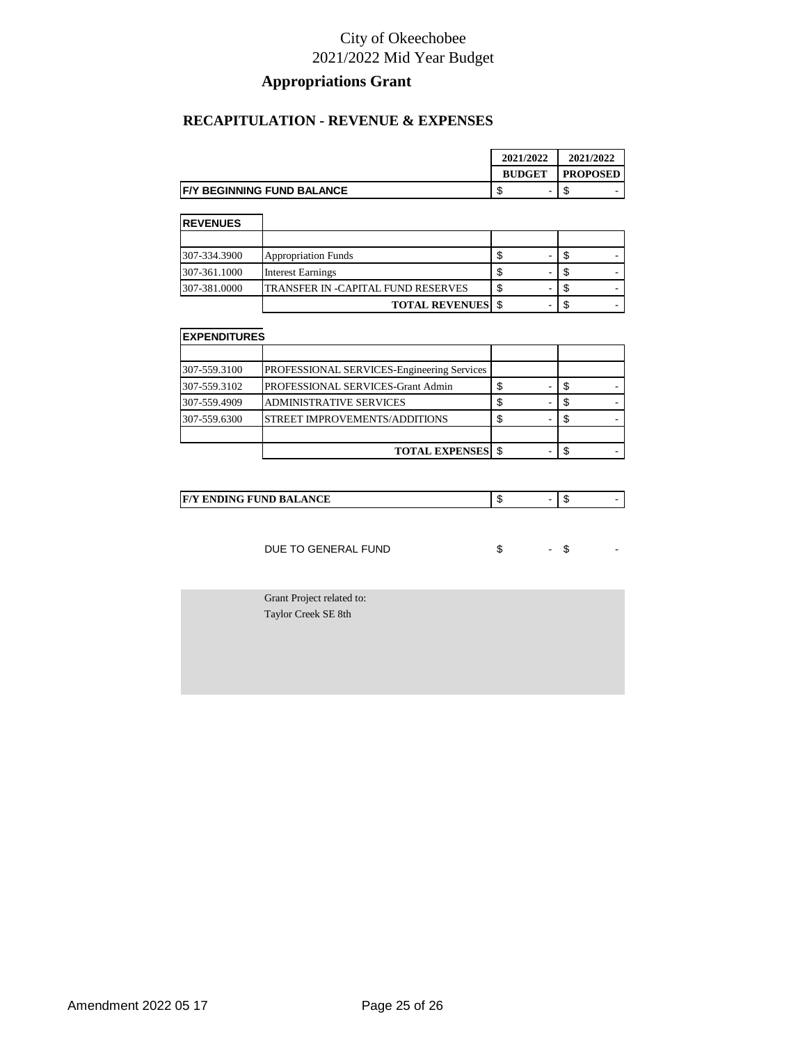### **Appropriations Grant**

#### **RECAPITULATION - REVENUE & EXPENSES**

|                                    | 2021/2022     | 2021/2022       |
|------------------------------------|---------------|-----------------|
|                                    | <b>BUDGET</b> | <b>PROPOSED</b> |
| <b>IF/Y BEGINNING FUND BALANCE</b> |               | -<br>w          |

| <b>REVENUES</b> |                                    |   |  |
|-----------------|------------------------------------|---|--|
|                 |                                    |   |  |
| 307-334.3900    | <b>Appropriation Funds</b>         | - |  |
| 307-361.1000    | <b>Interest Earnings</b>           | - |  |
| 307-381.0000    | TRANSFER IN -CAPITAL FUND RESERVES | - |  |
|                 | <b>TOTAL REVENUES</b> \$           |   |  |

| <b>EXPENDITURES</b> |                                            |   |  |  |
|---------------------|--------------------------------------------|---|--|--|
|                     |                                            |   |  |  |
| 307-559.3100        | PROFESSIONAL SERVICES-Engineering Services |   |  |  |
| 307-559.3102        | PROFESSIONAL SERVICES-Grant Admin          | S |  |  |
| 307-559.4909        | <b>ADMINISTRATIVE SERVICES</b>             | S |  |  |
| 307-559.6300        | STREET IMPROVEMENTS/ADDITIONS              |   |  |  |
|                     |                                            |   |  |  |
|                     | <b>TOTAL EXPENSES</b> \$                   |   |  |  |

|  | ANCE<br>D<br>$\mathbf{F}^r$<br>-67<br><br>$\sim$ | æ | кD |  |
|--|--------------------------------------------------|---|----|--|
|--|--------------------------------------------------|---|----|--|

DUE TO GENERAL FUND \$ 5

Grant Project related to: Taylor Creek SE 8th